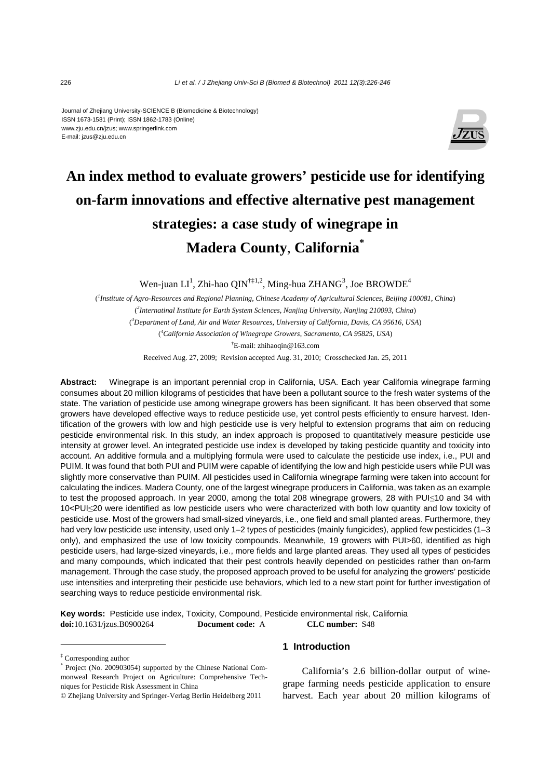#### Journal of Zhejiang University-SCIENCE B (Biomedicine & Biotechnology) ISSN 1673-1581 (Print); ISSN 1862-1783 (Online) www.zju.edu.cn/jzus; www.springerlink.com E-mail: jzus@zju.edu.cn



# **An index method to evaluate growers' pesticide use for identifying on-farm innovations and effective alternative pest management strategies: a case study of winegrape in Madera County**, **California\***

Wen-juan LI<sup>1</sup>, Zhi-hao QIN<sup>†‡1,2</sup>, Ming-hua ZHANG<sup>3</sup>, Joe BROWDE<sup>4</sup>

( *1 Institute of Agro-Resources and Regional Planning*, *Chinese Academy of Agricultural Sciences*, *Beijing 100081*, *China*) ( *2 Internatinal Institute for Earth System Sciences*, *Nanjing University*, *Nanjing 210093*, *China*) ( *3 Department of Land, Air and Water Resources*, *University of California*, *Davis*, *CA 95616*, *USA*) ( *4 California Association of Winegrape Growers*, *Sacramento*, *CA 95825*, *USA*) † E-mail: zhihaoqin@163.com

Received Aug. 27, 2009; Revision accepted Aug. 31, 2010; Crosschecked Jan. 25, 2011

**Abstract:** Winegrape is an important perennial crop in California, USA. Each year California winegrape farming consumes about 20 million kilograms of pesticides that have been a pollutant source to the fresh water systems of the state. The variation of pesticide use among winegrape growers has been significant. It has been observed that some growers have developed effective ways to reduce pesticide use, yet control pests efficiently to ensure harvest. Identification of the growers with low and high pesticide use is very helpful to extension programs that aim on reducing pesticide environmental risk. In this study, an index approach is proposed to quantitatively measure pesticide use intensity at grower level. An integrated pesticide use index is developed by taking pesticide quantity and toxicity into account. An additive formula and a multiplying formula were used to calculate the pesticide use index, i.e., PUI and PUIM. It was found that both PUI and PUIM were capable of identifying the low and high pesticide users while PUI was slightly more conservative than PUIM. All pesticides used in California winegrape farming were taken into account for calculating the indices. Madera County, one of the largest winegrape producers in California, was taken as an example to test the proposed approach. In year 2000, among the total 208 winegrape growers, 28 with PUI≤10 and 34 with 10<PUI≤20 were identified as low pesticide users who were characterized with both low quantity and low toxicity of pesticide use. Most of the growers had small-sized vineyards, i.e., one field and small planted areas. Furthermore, they had very low pesticide use intensity, used only 1–2 types of pesticides (mainly fungicides), applied few pesticides (1–3 only), and emphasized the use of low toxicity compounds. Meanwhile, 19 growers with PUI>60, identified as high pesticide users, had large-sized vineyards, i.e., more fields and large planted areas. They used all types of pesticides and many compounds, which indicated that their pest controls heavily depended on pesticides rather than on-farm management. Through the case study, the proposed approach proved to be useful for analyzing the growers' pesticide use intensities and interpreting their pesticide use behaviors, which led to a new start point for further investigation of searching ways to reduce pesticide environmental risk.

**Key words:** Pesticide use index, Toxicity, Compound, Pesticide environmental risk, California **doi:**10.1631/jzus.B0900264 **Document code:** A **CLC number:** S48

‡ Corresponding author

#### **1 Introduction**

California's 2.6 billion-dollar output of winegrape farming needs pesticide application to ensure harvest. Each year about 20 million kilograms of

<sup>\*</sup> Project (No. 200903054) supported by the Chinese National Commonweal Research Project on Agriculture: Comprehensive Techniques for Pesticide Risk Assessment in China

<sup>©</sup> Zhejiang University and Springer-Verlag Berlin Heidelberg 2011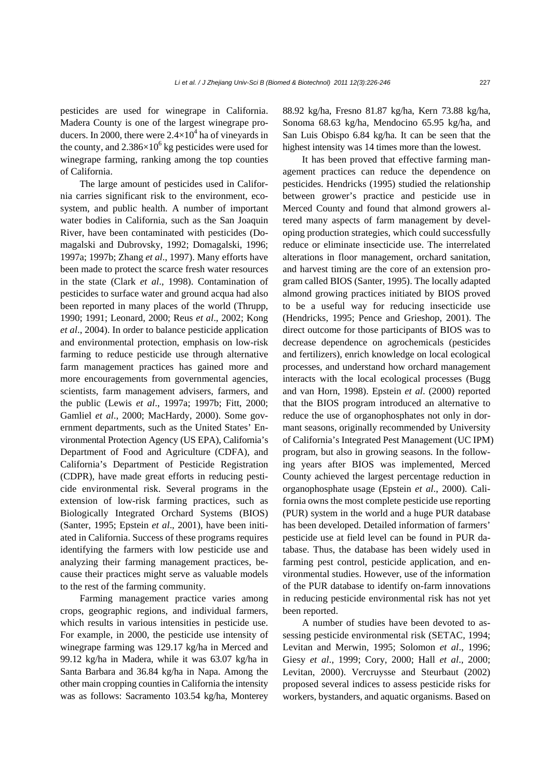pesticides are used for winegrape in California. Madera County is one of the largest winegrape producers. In 2000, there were  $2.4 \times 10^4$  ha of vineyards in the county, and  $2.386 \times 10^6$  kg pesticides were used for winegrape farming, ranking among the top counties of California.

The large amount of pesticides used in California carries significant risk to the environment, ecosystem, and public health. A number of important water bodies in California, such as the San Joaquin River, have been contaminated with pesticides (Domagalski and Dubrovsky, 1992; Domagalski, 1996; 1997a; 1997b; Zhang *et al*., 1997). Many efforts have been made to protect the scarce fresh water resources in the state (Clark *et al*., 1998). Contamination of pesticides to surface water and ground acqua had also been reported in many places of the world (Thrupp, 1990; 1991; Leonard, 2000; Reus *et al*., 2002; Kong *et al*., 2004). In order to balance pesticide application and environmental protection, emphasis on low-risk farming to reduce pesticide use through alternative farm management practices has gained more and more encouragements from governmental agencies, scientists, farm management advisers, farmers, and the public (Lewis *et al*., 1997a; 1997b; Fitt, 2000; Gamliel *et al*., 2000; MacHardy, 2000). Some government departments, such as the United States' Environmental Protection Agency (US EPA), California's Department of Food and Agriculture (CDFA), and California's Department of Pesticide Registration (CDPR), have made great efforts in reducing pesticide environmental risk. Several programs in the extension of low-risk farming practices, such as Biologically Integrated Orchard Systems (BIOS) (Santer, 1995; Epstein *et al*., 2001), have been initiated in California. Success of these programs requires identifying the farmers with low pesticide use and analyzing their farming management practices, because their practices might serve as valuable models to the rest of the farming community.

Farming management practice varies among crops, geographic regions, and individual farmers, which results in various intensities in pesticide use. For example, in 2000, the pesticide use intensity of winegrape farming was 129.17 kg/ha in Merced and 99.12 kg/ha in Madera, while it was 63.07 kg/ha in Santa Barbara and 36.84 kg/ha in Napa. Among the other main cropping counties in California the intensity was as follows: Sacramento 103.54 kg/ha, Monterey 88.92 kg/ha, Fresno 81.87 kg/ha, Kern 73.88 kg/ha, Sonoma 68.63 kg/ha, Mendocino 65.95 kg/ha, and San Luis Obispo 6.84 kg/ha. It can be seen that the highest intensity was 14 times more than the lowest.

It has been proved that effective farming management practices can reduce the dependence on pesticides. Hendricks (1995) studied the relationship between grower's practice and pesticide use in Merced County and found that almond growers altered many aspects of farm management by developing production strategies, which could successfully reduce or eliminate insecticide use. The interrelated alterations in floor management, orchard sanitation, and harvest timing are the core of an extension program called BIOS (Santer, 1995). The locally adapted almond growing practices initiated by BIOS proved to be a useful way for reducing insecticide use (Hendricks, 1995; Pence and Grieshop, 2001). The direct outcome for those participants of BIOS was to decrease dependence on agrochemicals (pesticides and fertilizers), enrich knowledge on local ecological processes, and understand how orchard management interacts with the local ecological processes (Bugg and van Horn, 1998). Epstein *et al*. (2000) reported that the BIOS program introduced an alternative to reduce the use of organophosphates not only in dormant seasons, originally recommended by University of California's Integrated Pest Management (UC IPM) program, but also in growing seasons. In the following years after BIOS was implemented, Merced County achieved the largest percentage reduction in organophosphate usage (Epstein *et al*., 2000). California owns the most complete pesticide use reporting (PUR) system in the world and a huge PUR database has been developed. Detailed information of farmers' pesticide use at field level can be found in PUR database. Thus, the database has been widely used in farming pest control, pesticide application, and environmental studies. However, use of the information of the PUR database to identify on-farm innovations in reducing pesticide environmental risk has not yet been reported.

A number of studies have been devoted to assessing pesticide environmental risk (SETAC, 1994; Levitan and Merwin, 1995; Solomon *et al*., 1996; Giesy *et al*., 1999; Cory, 2000; Hall *et al*., 2000; Levitan, 2000). Vercruysse and Steurbaut (2002) proposed several indices to assess pesticide risks for workers, bystanders, and aquatic organisms. Based on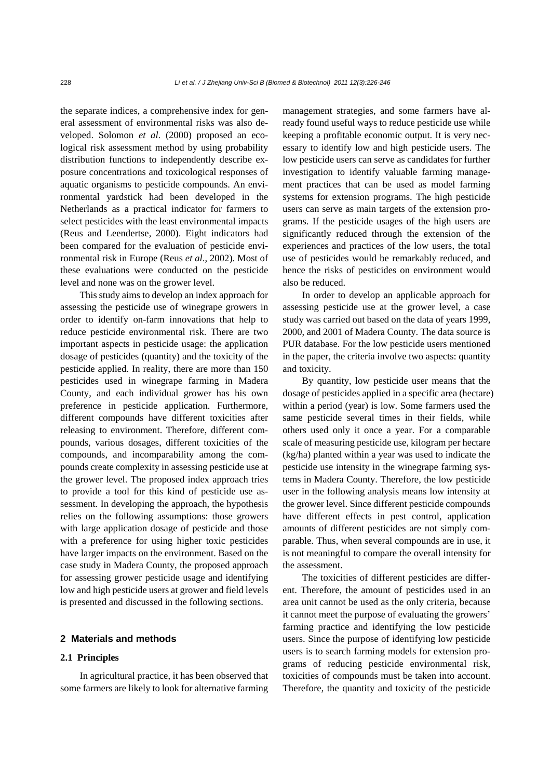the separate indices, a comprehensive index for general assessment of environmental risks was also developed. Solomon *et al*. (2000) proposed an ecological risk assessment method by using probability distribution functions to independently describe exposure concentrations and toxicological responses of aquatic organisms to pesticide compounds. An environmental yardstick had been developed in the Netherlands as a practical indicator for farmers to select pesticides with the least environmental impacts (Reus and Leendertse, 2000). Eight indicators had been compared for the evaluation of pesticide environmental risk in Europe (Reus *et al*., 2002). Most of these evaluations were conducted on the pesticide level and none was on the grower level.

This study aims to develop an index approach for assessing the pesticide use of winegrape growers in order to identify on-farm innovations that help to reduce pesticide environmental risk. There are two important aspects in pesticide usage: the application dosage of pesticides (quantity) and the toxicity of the pesticide applied. In reality, there are more than 150 pesticides used in winegrape farming in Madera County, and each individual grower has his own preference in pesticide application. Furthermore, different compounds have different toxicities after releasing to environment. Therefore, different compounds, various dosages, different toxicities of the compounds, and incomparability among the compounds create complexity in assessing pesticide use at the grower level. The proposed index approach tries to provide a tool for this kind of pesticide use assessment. In developing the approach, the hypothesis relies on the following assumptions: those growers with large application dosage of pesticide and those with a preference for using higher toxic pesticides have larger impacts on the environment. Based on the case study in Madera County, the proposed approach for assessing grower pesticide usage and identifying low and high pesticide users at grower and field levels is presented and discussed in the following sections.

## **2 Materials and methods**

# **2.1 Principles**

In agricultural practice, it has been observed that some farmers are likely to look for alternative farming management strategies, and some farmers have already found useful ways to reduce pesticide use while keeping a profitable economic output. It is very necessary to identify low and high pesticide users. The low pesticide users can serve as candidates for further investigation to identify valuable farming management practices that can be used as model farming systems for extension programs. The high pesticide users can serve as main targets of the extension programs. If the pesticide usages of the high users are significantly reduced through the extension of the experiences and practices of the low users, the total use of pesticides would be remarkably reduced, and hence the risks of pesticides on environment would also be reduced.

In order to develop an applicable approach for assessing pesticide use at the grower level, a case study was carried out based on the data of years 1999, 2000, and 2001 of Madera County. The data source is PUR database. For the low pesticide users mentioned in the paper, the criteria involve two aspects: quantity and toxicity.

By quantity, low pesticide user means that the dosage of pesticides applied in a specific area (hectare) within a period (year) is low. Some farmers used the same pesticide several times in their fields, while others used only it once a year. For a comparable scale of measuring pesticide use, kilogram per hectare (kg/ha) planted within a year was used to indicate the pesticide use intensity in the winegrape farming systems in Madera County. Therefore, the low pesticide user in the following analysis means low intensity at the grower level. Since different pesticide compounds have different effects in pest control, application amounts of different pesticides are not simply comparable. Thus, when several compounds are in use, it is not meaningful to compare the overall intensity for the assessment.

The toxicities of different pesticides are different. Therefore, the amount of pesticides used in an area unit cannot be used as the only criteria, because it cannot meet the purpose of evaluating the growers' farming practice and identifying the low pesticide users. Since the purpose of identifying low pesticide users is to search farming models for extension programs of reducing pesticide environmental risk, toxicities of compounds must be taken into account. Therefore, the quantity and toxicity of the pesticide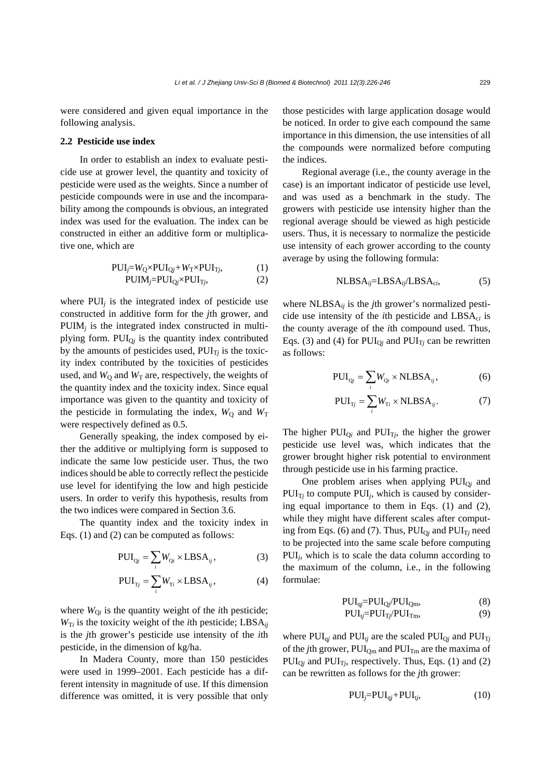were considered and given equal importance in the following analysis.

# **2.2 Pesticide use index**

In order to establish an index to evaluate pesticide use at grower level, the quantity and toxicity of pesticide were used as the weights. Since a number of pesticide compounds were in use and the incomparability among the compounds is obvious, an integrated index was used for the evaluation. The index can be constructed in either an additive form or multiplicative one, which are

$$
PUI_j = W_Q \times PUI_{Qj} + W_T \times PUI_{Tj}, \qquad (1)
$$

$$
PUIM_j = PUI_{Qj} \times PUI_{Tj}, \qquad (2)
$$

where  $PUI<sub>i</sub>$  is the integrated index of pesticide use constructed in additive form for the *j*th grower, and PUIM*j* is the integrated index constructed in multiplying form.  $PUI_{0j}$  is the quantity index contributed by the amounts of pesticides used,  $PUI<sub>Tj</sub>$  is the toxicity index contributed by the toxicities of pesticides used, and  $W_0$  and  $W_T$  are, respectively, the weights of the quantity index and the toxicity index. Since equal importance was given to the quantity and toxicity of the pesticide in formulating the index,  $W<sub>O</sub>$  and  $W<sub>T</sub>$ were respectively defined as 0.5.

Generally speaking, the index composed by either the additive or multiplying form is supposed to indicate the same low pesticide user. Thus, the two indices should be able to correctly reflect the pesticide use level for identifying the low and high pesticide users. In order to verify this hypothesis, results from the two indices were compared in Section 3.6.

The quantity index and the toxicity index in Eqs. (1) and (2) can be computed as follows:

$$
PUI_{Qj} = \sum_{i} W_{Qi} \times LBSA_{ij},
$$
 (3)

$$
PUI_{Tj} = \sum_{i} W_{Ti} \times LBSA_{ij}, \qquad (4)
$$

where  $W_{Qi}$  is the quantity weight of the *i*th pesticide;  $W_{Ti}$  is the toxicity weight of the *i*th pesticide; LBSA<sub>*ii*</sub> is the *j*th grower's pesticide use intensity of the *i*th pesticide, in the dimension of kg/ha.

In Madera County, more than 150 pesticides were used in 1999–2001. Each pesticide has a different intensity in magnitude of use. If this dimension difference was omitted, it is very possible that only those pesticides with large application dosage would be noticed. In order to give each compound the same importance in this dimension, the use intensities of all the compounds were normalized before computing the indices.

Regional average (i.e., the county average in the case) is an important indicator of pesticide use level, and was used as a benchmark in the study. The growers with pesticide use intensity higher than the regional average should be viewed as high pesticide users. Thus, it is necessary to normalize the pesticide use intensity of each grower according to the county average by using the following formula:

$$
NLBSA_{ij}=LBSA_{ij}/LBSA_{ci},
$$
 (5)

where NLBSA*ij* is the *j*th grower's normalized pesticide use intensity of the *i*th pesticide and  $LBSA_{ci}$  is the county average of the *i*th compound used. Thus, Eqs. (3) and (4) for  $PUI_{Qj}$  and  $PUI_{Tj}$  can be rewritten as follows:

$$
PUI_{Qj} = \sum_{i} W_{Qi} \times \text{NLBSA}_{ij},\tag{6}
$$

$$
PUI_{Tj} = \sum_{i} W_{Ti} \times NLBSA_{ij}.
$$
 (7)

The higher  $PUI_{0i}$  and  $PUI_{Ti}$ , the higher the grower pesticide use level was, which indicates that the grower brought higher risk potential to environment through pesticide use in his farming practice.

One problem arises when applying PUIQ*j* and  $PUI<sub>T</sub>$  to compute  $PUI<sub>i</sub>$ , which is caused by considering equal importance to them in Eqs. (1) and (2), while they might have different scales after computing from Eqs. (6) and (7). Thus,  $PUI_{Qj}$  and  $PUI_{Tj}$  need to be projected into the same scale before computing PUI*j*, which is to scale the data column according to the maximum of the column, i.e., in the following formulae:

$$
PUI_{qj} = PUI_{qj}/PUI_{Qm}, \t\t(8)
$$

$$
PUI_{tj} = PUI_{Tj}/PUI_{Tm}, \qquad (9)
$$

where  $PUI_{qi}$  and  $PUI_{ti}$  are the scaled  $PUI_{0j}$  and  $PUI_{Ti}$ of the *j*th grower,  $PUI_{Qm}$  and  $PUI_{Tm}$  are the maxima of  $PUI_{Qj}$  and  $PUI_{Tj}$ , respectively. Thus, Eqs. (1) and (2) can be rewritten as follows for the *j*th grower:

$$
PUI_j = PUI_{qj} + PUI_{tj}, \qquad (10)
$$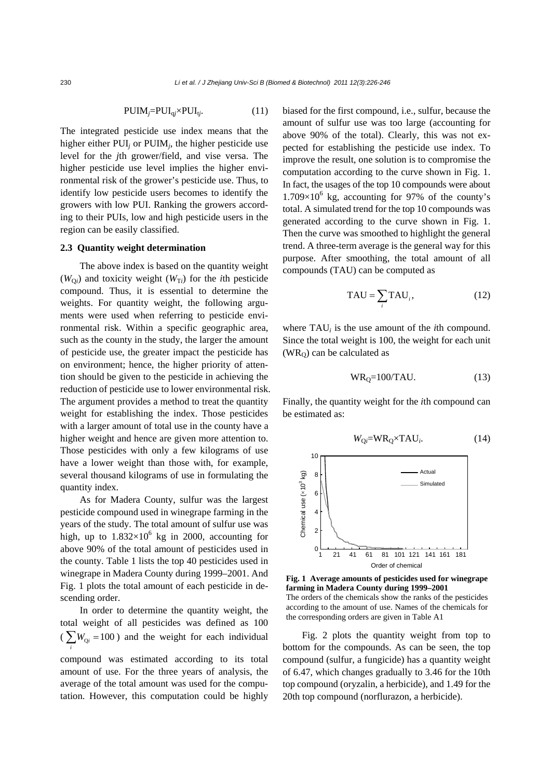$$
PUIM_j = PUI_{qj} \times PUI_{tj}.
$$
 (11)

The integrated pesticide use index means that the higher either PUI*j* or PUIM*j*, the higher pesticide use level for the *j*th grower/field, and vise versa. The higher pesticide use level implies the higher environmental risk of the grower's pesticide use. Thus, to identify low pesticide users becomes to identify the growers with low PUI. Ranking the growers according to their PUIs, low and high pesticide users in the region can be easily classified.

# **2.3 Quantity weight determination**

The above index is based on the quantity weight  $(W<sub>Oi</sub>)$  and toxicity weight  $(W<sub>Ti</sub>)$  for the *i*th pesticide compound. Thus, it is essential to determine the weights. For quantity weight, the following arguments were used when referring to pesticide environmental risk. Within a specific geographic area, such as the county in the study, the larger the amount of pesticide use, the greater impact the pesticide has on environment; hence, the higher priority of attention should be given to the pesticide in achieving the reduction of pesticide use to lower environmental risk. The argument provides a method to treat the quantity weight for establishing the index. Those pesticides with a larger amount of total use in the county have a higher weight and hence are given more attention to. Those pesticides with only a few kilograms of use have a lower weight than those with, for example, several thousand kilograms of use in formulating the quantity index.

As for Madera County, sulfur was the largest pesticide compound used in winegrape farming in the years of the study. The total amount of sulfur use was high, up to  $1.832 \times 10^6$  kg in 2000, accounting for above 90% of the total amount of pesticides used in the county. Table 1 lists the top 40 pesticides used in winegrape in Madera County during 1999–2001. And Fig. 1 plots the total amount of each pesticide in descending order.

In order to determine the quantity weight, the total weight of all pesticides was defined as 100  $(\sum_i W_{Qi} = 100)$  and the weight for each individual

compound was estimated according to its total amount of use. For the three years of analysis, the average of the total amount was used for the computation. However, this computation could be highly

biased for the first compound, i.e., sulfur, because the amount of sulfur use was too large (accounting for above 90% of the total). Clearly, this was not expected for establishing the pesticide use index. To improve the result, one solution is to compromise the computation according to the curve shown in Fig. 1. In fact, the usages of the top 10 compounds were about  $1.709\times10^{6}$  kg, accounting for 97% of the county's total. A simulated trend for the top 10 compounds was generated according to the curve shown in Fig. 1. Then the curve was smoothed to highlight the general trend. A three-term average is the general way for this purpose. After smoothing, the total amount of all compounds (TAU) can be computed as

$$
TAU = \sum_{i} TAU_{i}, \qquad (12)
$$

where TAU*i* is the use amount of the *i*th compound. Since the total weight is 100, the weight for each unit (WR<sub>O</sub>) can be calculated as

$$
WR_{Q}=100/TAU.
$$
 (13)

Finally, the quantity weight for the *i*th compound can be estimated as:



**Fig. 1 Average amounts of pesticides used for winegrape farming in Madera County during 1999–2001**  The orders of the chemicals show the ranks of the pesticides according to the amount of use. Names of the chemicals for

the corresponding orders are given in Table A1

Fig. 2 plots the quantity weight from top to bottom for the compounds. As can be seen, the top compound (sulfur, a fungicide) has a quantity weight of 6.47, which changes gradually to 3.46 for the 10th top compound (oryzalin, a herbicide), and 1.49 for the 20th top compound (norflurazon, a herbicide).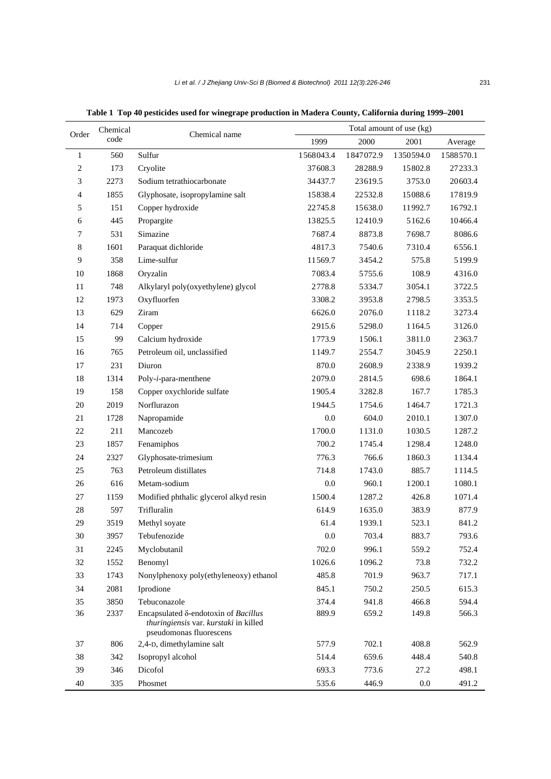| Chemical<br>Order |      | Chemical name                                                                                                           | Total amount of use (kg) |           |           |           |  |  |  |
|-------------------|------|-------------------------------------------------------------------------------------------------------------------------|--------------------------|-----------|-----------|-----------|--|--|--|
|                   | code |                                                                                                                         | 1999                     | 2000      | 2001      | Average   |  |  |  |
| $\mathbf{1}$      | 560  | Sulfur                                                                                                                  | 1568043.4                | 1847072.9 | 1350594.0 | 1588570.1 |  |  |  |
| 2                 | 173  | Cryolite                                                                                                                | 37608.3                  | 28288.9   | 15802.8   | 27233.3   |  |  |  |
| 3                 | 2273 | Sodium tetrathiocarbonate                                                                                               | 34437.7                  | 23619.5   | 3753.0    | 20603.4   |  |  |  |
| 4                 | 1855 | Glyphosate, isopropylamine salt                                                                                         | 15838.4                  | 22532.8   | 15088.6   | 17819.9   |  |  |  |
| 5                 | 151  | Copper hydroxide                                                                                                        | 22745.8                  | 15638.0   | 11992.7   | 16792.1   |  |  |  |
| 6                 | 445  | Propargite                                                                                                              | 13825.5                  | 12410.9   | 5162.6    | 10466.4   |  |  |  |
| 7                 | 531  | Simazine                                                                                                                | 7687.4                   | 8873.8    | 7698.7    | 8086.6    |  |  |  |
| 8                 | 1601 | Paraquat dichloride                                                                                                     | 4817.3                   | 7540.6    | 7310.4    | 6556.1    |  |  |  |
| 9                 | 358  | Lime-sulfur                                                                                                             | 11569.7                  | 3454.2    | 575.8     | 5199.9    |  |  |  |
| 10                | 1868 | Oryzalin                                                                                                                | 7083.4                   | 5755.6    | 108.9     | 4316.0    |  |  |  |
| 11                | 748  | Alkylaryl poly(oxyethylene) glycol                                                                                      | 2778.8                   | 5334.7    | 3054.1    | 3722.5    |  |  |  |
| 12                | 1973 | Oxyfluorfen                                                                                                             | 3308.2                   | 3953.8    | 2798.5    | 3353.5    |  |  |  |
| 13                | 629  | Ziram                                                                                                                   | 6626.0                   | 2076.0    | 1118.2    | 3273.4    |  |  |  |
| 14                | 714  | Copper                                                                                                                  | 2915.6                   | 5298.0    | 1164.5    | 3126.0    |  |  |  |
| 15                | 99   | Calcium hydroxide                                                                                                       | 1773.9                   | 1506.1    | 3811.0    | 2363.7    |  |  |  |
| 16                | 765  | Petroleum oil, unclassified                                                                                             | 1149.7                   | 2554.7    | 3045.9    | 2250.1    |  |  |  |
| 17                | 231  | Diuron                                                                                                                  | 870.0                    | 2608.9    | 2338.9    | 1939.2    |  |  |  |
| 18                | 1314 | Poly-i-para-menthene                                                                                                    | 2079.0                   | 2814.5    | 698.6     | 1864.1    |  |  |  |
| 19                | 158  | Copper oxychloride sulfate                                                                                              | 1905.4                   | 3282.8    | 167.7     | 1785.3    |  |  |  |
| 20                | 2019 | Norflurazon                                                                                                             | 1944.5                   | 1754.6    | 1464.7    | 1721.3    |  |  |  |
| 21                | 1728 | Napropamide                                                                                                             | 0.0                      | 604.0     | 2010.1    | 1307.0    |  |  |  |
| 22                | 211  | Mancozeb                                                                                                                | 1700.0                   | 1131.0    | 1030.5    | 1287.2    |  |  |  |
| 23                | 1857 | Fenamiphos                                                                                                              | 700.2                    | 1745.4    | 1298.4    | 1248.0    |  |  |  |
| 24                | 2327 | Glyphosate-trimesium                                                                                                    | 776.3                    | 766.6     | 1860.3    | 1134.4    |  |  |  |
| 25                | 763  | Petroleum distillates                                                                                                   | 714.8                    | 1743.0    | 885.7     | 1114.5    |  |  |  |
| 26                | 616  | Metam-sodium                                                                                                            | 0.0                      | 960.1     | 1200.1    | 1080.1    |  |  |  |
| 27                | 1159 | Modified phthalic glycerol alkyd resin                                                                                  | 1500.4                   | 1287.2    | 426.8     | 1071.4    |  |  |  |
| 28                | 597  | Trifluralin                                                                                                             | 614.9                    | 1635.0    | 383.9     | 877.9     |  |  |  |
| 29                | 3519 | Methyl soyate                                                                                                           | 61.4                     | 1939.1    | 523.1     | 841.2     |  |  |  |
| 30                | 3957 | Tebufenozide                                                                                                            | 0.0                      | 703.4     | 883.7     | 793.6     |  |  |  |
| 31                | 2245 | Myclobutanil                                                                                                            | 702.0                    | 996.1     | 559.2     | 752.4     |  |  |  |
| 32                | 1552 | Benomyl                                                                                                                 | 1026.6                   | 1096.2    | 73.8      | 732.2     |  |  |  |
| 33                | 1743 | Nonylphenoxy poly(ethyleneoxy) ethanol                                                                                  | 485.8                    | 701.9     | 963.7     | 717.1     |  |  |  |
| 34                | 2081 | Iprodione                                                                                                               | 845.1                    | 750.2     | 250.5     | 615.3     |  |  |  |
| 35                | 3850 | Tebuconazole                                                                                                            | 374.4                    | 941.8     | 466.8     | 594.4     |  |  |  |
| 36                | 2337 | Encapsulated $\delta$ -endotoxin of <i>Bacillus</i><br>thuringiensis var. kurstaki in killed<br>pseudomonas fluorescens | 889.9                    | 659.2     | 149.8     | 566.3     |  |  |  |
| 37                | 806  | 2,4-D, dimethylamine salt                                                                                               | 577.9                    | 702.1     | 408.8     | 562.9     |  |  |  |
| 38                | 342  | Isopropyl alcohol                                                                                                       | 514.4                    | 659.6     | 448.4     | 540.8     |  |  |  |
| 39                | 346  | Dicofol                                                                                                                 | 693.3                    | 773.6     | 27.2      | 498.1     |  |  |  |
| 40                | 335  | Phosmet                                                                                                                 | 535.6                    | 446.9     | $0.0\,$   | 491.2     |  |  |  |

**Table 1 Top 40 pesticides used for winegrape production in Madera County, California during 1999–2001**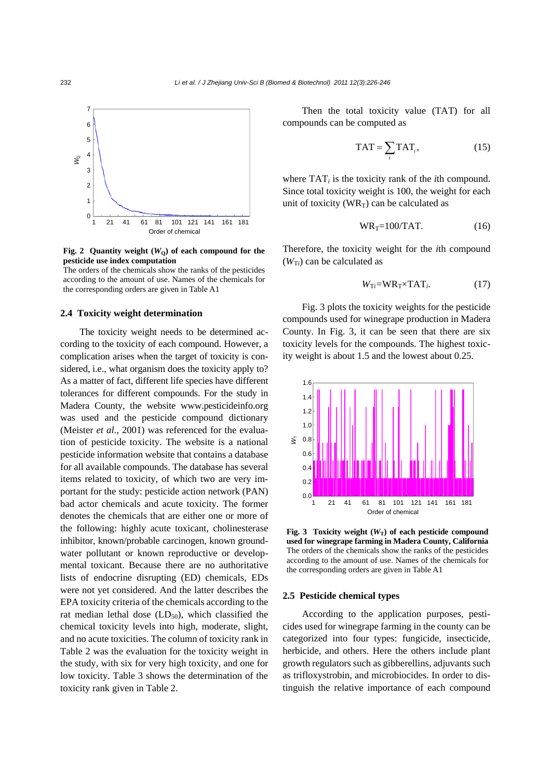



**Fig. 2** Quantity weight  $(W<sub>O</sub>)$  of each compound for the **pesticide use index computation** 

The orders of the chemicals show the ranks of the pesticides according to the amount of use. Names of the chemicals for the corresponding orders are given in Table A1

#### **2.4 Toxicity weight determination**

The toxicity weight needs to be determined according to the toxicity of each compound. However, a complication arises when the target of toxicity is considered, i.e., what organism does the toxicity apply to? As a matter of fact, different life species have different tolerances for different compounds. For the study in Madera County, the website www.pesticideinfo.org was used and the pesticide compound dictionary (Meister *et al*., 2001) was referenced for the evaluation of pesticide toxicity. The website is a national pesticide information website that contains a database for all available compounds. The database has several items related to toxicity, of which two are very important for the study: pesticide action network (PAN) bad actor chemicals and acute toxicity. The former denotes the chemicals that are either one or more of the following: highly acute toxicant, cholinesterase inhibitor, known/probable carcinogen, known groundwater pollutant or known reproductive or developmental toxicant. Because there are no authoritative lists of endocrine disrupting (ED) chemicals, EDs were not yet considered. And the latter describes the EPA toxicity criteria of the chemicals according to the rat median lethal dose  $(LD_{50})$ , which classified the chemical toxicity levels into high, moderate, slight, and no acute toxicities. The column of toxicity rank in Table 2 was the evaluation for the toxicity weight in the study, with six for very high toxicity, and one for low toxicity. Table 3 shows the determination of the toxicity rank given in Table 2.

Then the total toxicity value (TAT) for all compounds can be computed as

$$
TAT = \sum_{i} TAT_{i}, \qquad (15)
$$

where TAT*i* is the toxicity rank of the *i*th compound. Since total toxicity weight is 100, the weight for each unit of toxicity ( $WR_T$ ) can be calculated as

$$
WR_T = 100/TAT.
$$
 (16)

Therefore, the toxicity weight for the *i*th compound  $(W_T_i)$  can be calculated as

$$
W_{Ti} = WR_T \times TAT_i. \tag{17}
$$

Fig. 3 plots the toxicity weights for the pesticide compounds used for winegrape production in Madera County. In Fig. 3, it can be seen that there are six toxicity levels for the compounds. The highest toxicity weight is about 1.5 and the lowest about 0.25.



**Fig. 3** Toxicity weight  $(W_T)$  of each pesticide compound **used for winegrape farming in Madera County, California** The orders of the chemicals show the ranks of the pesticides according to the amount of use. Names of the chemicals for the corresponding orders are given in Table A1

#### **2.5 Pesticide chemical types**

According to the application purposes, pesticides used for winegrape farming in the county can be categorized into four types: fungicide, insecticide, herbicide, and others. Here the others include plant growth regulators such as gibberellins, adjuvants such as trifloxystrobin, and microbiocides. In order to distinguish the relative importance of each compound

 $\epsilon$ 

7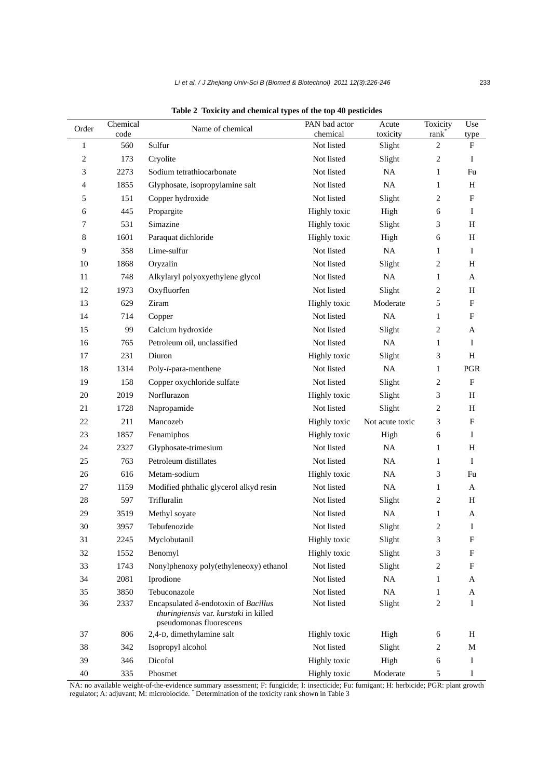| Order          | Chemical<br>code | Name of chemical                                                                                                        | PAN bad actor<br>chemical | Acute<br>toxicity | Toxicity<br>rank | Use<br>type               |
|----------------|------------------|-------------------------------------------------------------------------------------------------------------------------|---------------------------|-------------------|------------------|---------------------------|
| $\mathbf{1}$   | 560              | Sulfur                                                                                                                  | Not listed                | Slight            | $\sqrt{2}$       | ${\rm F}$                 |
| $\sqrt{2}$     | 173              | Cryolite                                                                                                                | Not listed                | Slight            | $\overline{c}$   | Ι                         |
| 3              | 2273             | Sodium tetrathiocarbonate                                                                                               | Not listed                | NA                | 1                | Fu                        |
| $\overline{4}$ | 1855             | Glyphosate, isopropylamine salt                                                                                         | Not listed                | NA                | 1                | H                         |
| 5              | 151              | Copper hydroxide                                                                                                        | Not listed                | Slight            | $\boldsymbol{2}$ | F                         |
| 6              | 445              | Propargite                                                                                                              | Highly toxic              | High              | 6                | $\bf{I}$                  |
| 7              | 531              | Simazine                                                                                                                | Highly toxic              | Slight            | 3                | H                         |
| $\,8\,$        | 1601             | Paraquat dichloride                                                                                                     | Highly toxic              | High              | 6                | H                         |
| 9              | 358              | Lime-sulfur                                                                                                             | Not listed                | $\rm NA$          | 1                | $\bf{I}$                  |
| 10             | 1868             | Oryzalin                                                                                                                | Not listed                | Slight            | $\sqrt{2}$       | H                         |
| 11             | 748              | Alkylaryl polyoxyethylene glycol                                                                                        | Not listed                | NA                | 1                | A                         |
| 12             | 1973             | Oxyfluorfen                                                                                                             | Not listed                | Slight            | 2                | H                         |
| 13             | 629              | Ziram                                                                                                                   | Highly toxic              | Moderate          | 5                | F                         |
| 14             | 714              | Copper                                                                                                                  | Not listed                | $\rm NA$          | 1                | $\boldsymbol{\mathrm{F}}$ |
| 15             | 99               | Calcium hydroxide                                                                                                       | Not listed                | Slight            | 2                | A                         |
| 16             | 765              | Petroleum oil, unclassified                                                                                             | Not listed                | NA                | 1                | I                         |
| 17             | 231              | Diuron                                                                                                                  | Highly toxic              | Slight            | 3                | H                         |
| 18             | 1314             | Poly-i-para-menthene                                                                                                    | Not listed                | $\rm NA$          | 1                | PGR                       |
| 19             | 158              | Copper oxychloride sulfate                                                                                              | Not listed                | Slight            | $\overline{c}$   | $\boldsymbol{\mathrm{F}}$ |
| 20             | 2019             | Norflurazon                                                                                                             | Highly toxic              | Slight            | 3                | H                         |
| 21             | 1728             | Napropamide                                                                                                             | Not listed                | Slight            | $\overline{c}$   | Η                         |
| 22             | 211              | Mancozeb                                                                                                                | Highly toxic              | Not acute toxic   | 3                | F                         |
| 23             | 1857             | Fenamiphos                                                                                                              | Highly toxic              | High              | 6                | Ι                         |
| 24             | 2327             | Glyphosate-trimesium                                                                                                    | Not listed                | $\rm NA$          | 1                | H                         |
| 25             | 763              | Petroleum distillates                                                                                                   | Not listed                | $\rm NA$          | 1                | $\rm I$                   |
| 26             | 616              | Metam-sodium                                                                                                            | Highly toxic              | <b>NA</b>         | 3                | Fu                        |
| 27             | 1159             | Modified phthalic glycerol alkyd resin                                                                                  | Not listed                | <b>NA</b>         | 1                | A                         |
| 28             | 597              | Trifluralin                                                                                                             | Not listed                | Slight            | $\overline{c}$   | Η                         |
| 29             | 3519             | Methyl soyate                                                                                                           | Not listed                | $\rm NA$          | 1                | A                         |
| 30             | 3957             | Tebufenozide                                                                                                            | Not listed                | Slight            | 2                | I                         |
| 31             | 2245             | Myclobutanil                                                                                                            | Highly toxic              | Slight            | 3                | F                         |
| 32             | 1552             | Benomyl                                                                                                                 | Highly toxic              | Slight            | 3                | F                         |
| 33             | 1743             | Nonylphenoxy poly(ethyleneoxy) ethanol                                                                                  | Not listed                | Slight            | 2                | F                         |
| 34             | 2081             | Iprodione                                                                                                               | Not listed                | <b>NA</b>         | 1                | A                         |
| 35             | 3850             | Tebuconazole                                                                                                            | Not listed                | $_{\rm NA}$       | 1                | A                         |
| 36             | 2337             | Encapsulated $\delta$ -endotoxin of <i>Bacillus</i><br>thuringiensis var. kurstaki in killed<br>pseudomonas fluorescens | Not listed                | Slight            | 2                | Ι                         |
| 37             | 806              | 2,4-D, dimethylamine salt                                                                                               | Highly toxic              | High              | 6                | H                         |
| 38             | 342              | Isopropyl alcohol                                                                                                       | Not listed                | Slight            | $\overline{c}$   | M                         |
| 39             | 346              | Dicofol                                                                                                                 | Highly toxic              | High              | 6                | Ι                         |
| 40             | 335              | Phosmet                                                                                                                 | Highly toxic              | Moderate          | 5                | Ι                         |

**Table 2 Toxicity and chemical types of the top 40 pesticides** 

NA: no available weight-of-the-evidence summary assessment; F: fungicide; I: insecticide; Fu: fumigant; H: herbicide; PGR: plant growth regulator; A: adjuvant; M: microbiocide. \* Determination of the toxicity rank shown in Table 3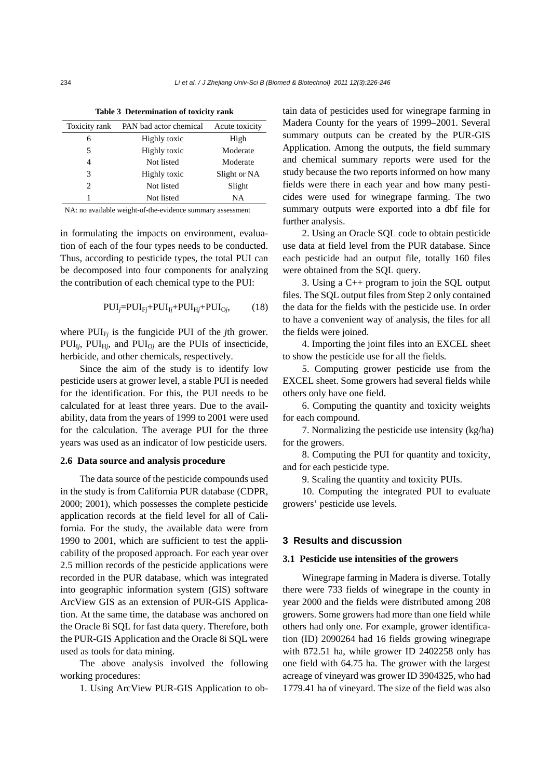| Toxicity rank               | PAN bad actor chemical | Acute toxicity |
|-----------------------------|------------------------|----------------|
| 6                           | Highly toxic           | High           |
| 5                           | Highly toxic           | Moderate       |
| 4                           | Not listed             | Moderate       |
| 3                           | Highly toxic           | Slight or NA   |
| $\mathcal{D}_{\mathcal{L}}$ | Not listed             | Slight         |
|                             | Not listed             | NΑ             |
|                             |                        |                |

**Table 3 Determination of toxicity rank** 

NA: no available weight-of-the-evidence summary assessment

in formulating the impacts on environment, evaluation of each of the four types needs to be conducted. Thus, according to pesticide types, the total PUI can be decomposed into four components for analyzing the contribution of each chemical type to the PUI:

$$
PUI_j = PUI_{Fj} + PUI_{Ij} + PUI_{Hj} + PUI_{Oj}, \qquad (18)
$$

where  $PUI<sub>Fj</sub>$  is the fungicide PUI of the *j*th grower.  $PUI_{1i}$ ,  $PUI_{Hi}$ , and  $PUI_{0i}$  are the PUIs of insecticide, herbicide, and other chemicals, respectively.

Since the aim of the study is to identify low pesticide users at grower level, a stable PUI is needed for the identification. For this, the PUI needs to be calculated for at least three years. Due to the availability, data from the years of 1999 to 2001 were used for the calculation. The average PUI for the three years was used as an indicator of low pesticide users.

#### **2.6 Data source and analysis procedure**

The data source of the pesticide compounds used in the study is from California PUR database (CDPR, 2000; 2001), which possesses the complete pesticide application records at the field level for all of California. For the study, the available data were from 1990 to 2001, which are sufficient to test the applicability of the proposed approach. For each year over 2.5 million records of the pesticide applications were recorded in the PUR database, which was integrated into geographic information system (GIS) software ArcView GIS as an extension of PUR-GIS Application. At the same time, the database was anchored on the Oracle 8i SQL for fast data query. Therefore, both the PUR-GIS Application and the Oracle 8i SQL were used as tools for data mining.

The above analysis involved the following working procedures:

1. Using ArcView PUR-GIS Application to ob-

tain data of pesticides used for winegrape farming in Madera County for the years of 1999–2001. Several summary outputs can be created by the PUR-GIS Application. Among the outputs, the field summary and chemical summary reports were used for the study because the two reports informed on how many fields were there in each year and how many pesticides were used for winegrape farming. The two summary outputs were exported into a dbf file for further analysis.

2. Using an Oracle SQL code to obtain pesticide use data at field level from the PUR database. Since each pesticide had an output file, totally 160 files were obtained from the SQL query.

3. Using a C++ program to join the SQL output files. The SQL output files from Step 2 only contained the data for the fields with the pesticide use. In order to have a convenient way of analysis, the files for all the fields were joined.

4. Importing the joint files into an EXCEL sheet to show the pesticide use for all the fields.

5. Computing grower pesticide use from the EXCEL sheet. Some growers had several fields while others only have one field.

6. Computing the quantity and toxicity weights for each compound.

7. Normalizing the pesticide use intensity (kg/ha) for the growers.

8. Computing the PUI for quantity and toxicity, and for each pesticide type.

9. Scaling the quantity and toxicity PUIs.

10. Computing the integrated PUI to evaluate growers' pesticide use levels.

# **3 Results and discussion**

#### **3.1 Pesticide use intensities of the growers**

Winegrape farming in Madera is diverse. Totally there were 733 fields of winegrape in the county in year 2000 and the fields were distributed among 208 growers. Some growers had more than one field while others had only one. For example, grower identification (ID) 2090264 had 16 fields growing winegrape with 872.51 ha, while grower ID 2402258 only has one field with 64.75 ha. The grower with the largest acreage of vineyard was grower ID 3904325, who had 1779.41 ha of vineyard. The size of the field was also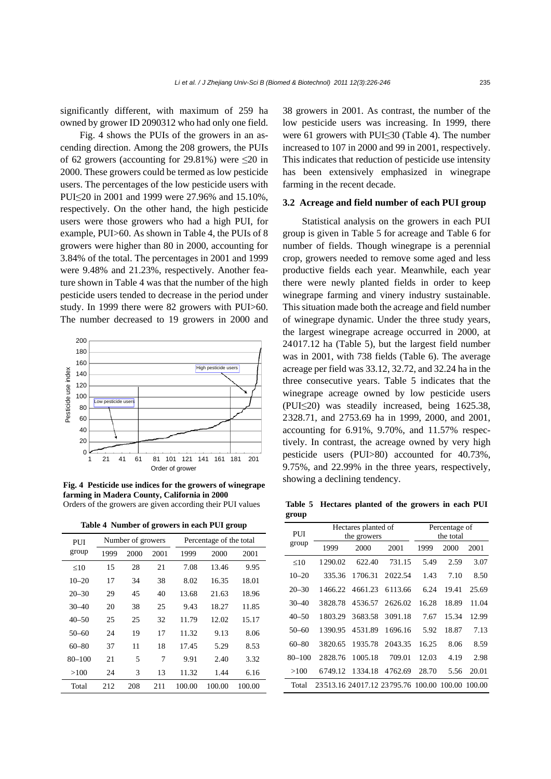significantly different, with maximum of 259 ha owned by grower ID 2090312 who had only one field.

Fig. 4 shows the PUIs of the growers in an ascending direction. Among the 208 growers, the PUIs of 62 growers (accounting for 29.81%) were  $\leq 20$  in 2000. These growers could be termed as low pesticide users. The percentages of the low pesticide users with PUI≤20 in 2001 and 1999 were 27.96% and 15.10%, respectively. On the other hand, the high pesticide users were those growers who had a high PUI, for example, PUI>60. As shown in Table 4, the PUIs of 8 growers were higher than 80 in 2000, accounting for 3.84% of the total. The percentages in 2001 and 1999 were 9.48% and 21.23%, respectively. Another feature shown in Table 4 was that the number of the high pesticide users tended to decrease in the period under study. In 1999 there were 82 growers with PUI>60. The number decreased to 19 growers in 2000 and



**Fig. 4 Pesticide use indices for the growers of winegrape farming in Madera County, California in 2000**  Orders of the growers are given according their PUI values

**Table 4 Number of growers in each PUI group**

| PUI        |      | Number of growers |      | Percentage of the total |        |        |  |
|------------|------|-------------------|------|-------------------------|--------|--------|--|
| group      | 1999 | 2000              | 2001 | 1999                    | 2000   | 2001   |  |
| $\leq 10$  | 15   | 28                | 21   | 7.08                    | 13.46  | 9.95   |  |
| $10 - 20$  | 17   | 34                | 38   | 8.02                    | 16.35  | 18.01  |  |
| $20 - 30$  | 29   | 45                | 40   | 13.68                   | 21.63  | 18.96  |  |
| $30 - 40$  | 20   | 38                | 25   | 9.43                    | 18.27  | 11.85  |  |
| $40 - 50$  | 25   | 25                | 32   | 11.79                   | 12.02  | 15.17  |  |
| $50 - 60$  | 24   | 19                | 17   | 11.32                   | 9.13   | 8.06   |  |
| 60–80      | 37   | 11                | 18   | 17.45                   | 5.29   | 8.53   |  |
| $80 - 100$ | 21   | 5                 | 7    | 9.91                    | 2.40   | 3.32   |  |
| >100       | 24   | 3                 | 13   | 11.32                   | 1.44   | 6.16   |  |
| Total      | 212  | 208               | 211  | 100.00                  | 100.00 | 100.00 |  |

38 growers in 2001. As contrast, the number of the low pesticide users was increasing. In 1999, there were 61 growers with PUI≤30 (Table 4). The number increased to 107 in 2000 and 99 in 2001, respectively. This indicates that reduction of pesticide use intensity has been extensively emphasized in winegrape farming in the recent decade.

## **3.2 Acreage and field number of each PUI group**

Statistical analysis on the growers in each PUI group is given in Table 5 for acreage and Table 6 for number of fields. Though winegrape is a perennial crop, growers needed to remove some aged and less productive fields each year. Meanwhile, each year there were newly planted fields in order to keep winegrape farming and vinery industry sustainable. This situation made both the acreage and field number of winegrape dynamic. Under the three study years, the largest winegrape acreage occurred in 2000, at 24017.12 ha (Table 5), but the largest field number was in 2001, with 738 fields (Table 6). The average acreage per field was 33.12, 32.72, and 32.24 ha in the three consecutive years. Table 5 indicates that the winegrape acreage owned by low pesticide users (PUI≤20) was steadily increased, being 1625.38, 2328.71, and 2753.69 ha in 1999, 2000, and 2001, accounting for 6.91%, 9.70%, and 11.57% respectively. In contrast, the acreage owned by very high pesticide users (PUI>80) accounted for 40.73%, 9.75%, and 22.99% in the three years, respectively, showing a declining tendency.

**Table 5 Hectares planted of the growers in each PUI group** 

| PUI        |         | Hectares planted of<br>the growers | Percentage of<br>the total        |       |        |        |
|------------|---------|------------------------------------|-----------------------------------|-------|--------|--------|
| group      | 1999    | 2000                               | 2001                              | 1999  | 2000   | 2001   |
| $\leq 10$  | 1290.02 | 622.40                             | 731.15                            | 5.49  | 2.59   | 3.07   |
| $10 - 20$  | 335.36  | 1706.31                            | 2022.54                           | 1.43  | 7.10   | 8.50   |
| $20 - 30$  | 1466.22 | 4661.23                            | 6113.66                           | 6.24  | 19.41  | 25.69  |
| $30 - 40$  | 3828.78 | 4536.57                            | 2626.02                           | 16.28 | 18.89  | 11.04  |
| $40 - 50$  | 1803.29 | 3683.58                            | 3091.18                           | 7.67  | 15.34  | 12.99  |
| $50 - 60$  | 1390.95 | 4531.89                            | 1696.16                           | 5.92  | 18.87  | 7.13   |
| $60 - 80$  | 3820.65 | 1935.78                            | 2043.35                           | 16.25 | 8.06   | 8.59   |
| $80 - 100$ | 2828.76 | 1005.18                            | 709.01                            | 12.03 | 4.19   | 2.98   |
| >100       | 6749.12 | 1334.18                            | 4762.69                           | 28.70 | 5.56   | 20.01  |
| Total      |         |                                    | 23513.16 24017.12 23795.76 100.00 |       | 100.00 | 100.00 |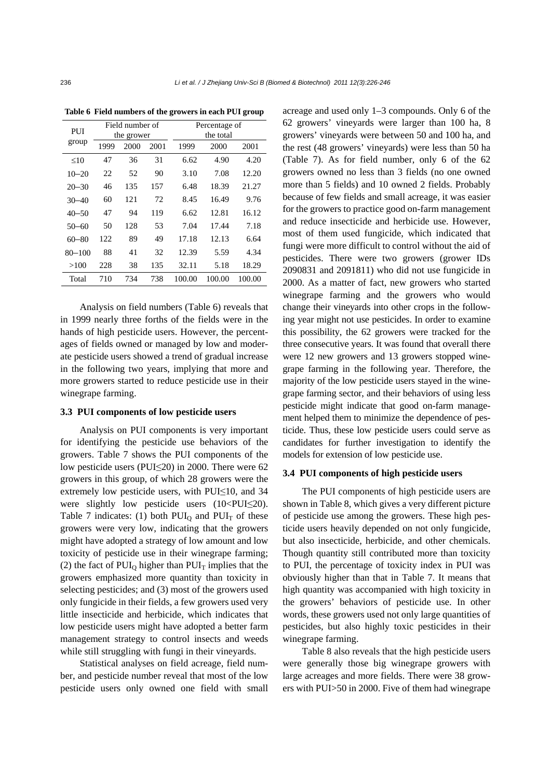| PUI        |      | Field number of<br>the grower |      |        | Percentage of<br>the total |        |  |  |  |
|------------|------|-------------------------------|------|--------|----------------------------|--------|--|--|--|
| group      | 1999 | 2000                          | 2001 | 1999   | 2000                       | 2001   |  |  |  |
| $\leq 10$  | 47   | 36                            | 31   | 6.62   | 4.90                       | 4.20   |  |  |  |
| $10 - 20$  | 22   | 52                            | 90   | 3.10   | 7.08                       | 12.20  |  |  |  |
| $20 - 30$  | 46   | 135                           | 157  | 6.48   | 18.39                      | 21.27  |  |  |  |
| $30 - 40$  | 60   | 121                           | 72   | 8.45   | 16.49                      | 9.76   |  |  |  |
| $40 - 50$  | 47   | 94                            | 119  | 6.62   | 12.81                      | 16.12  |  |  |  |
| $50 - 60$  | 50   | 128                           | 53   | 7.04   | 17.44                      | 7.18   |  |  |  |
| $60 - 80$  | 122  | 89                            | 49   | 17.18  | 12.13                      | 6.64   |  |  |  |
| $80 - 100$ | 88   | 41                            | 32   | 12.39  | 5.59                       | 4.34   |  |  |  |
| >100       | 228  | 38                            | 135  | 32.11  | 5.18                       | 18.29  |  |  |  |
| Total      | 710  | 734                           | 738  | 100.00 | 100.00                     | 100.00 |  |  |  |

**Table 6 Field numbers of the growers in each PUI group**

Analysis on field numbers (Table 6) reveals that in 1999 nearly three forths of the fields were in the hands of high pesticide users. However, the percentages of fields owned or managed by low and moderate pesticide users showed a trend of gradual increase in the following two years, implying that more and more growers started to reduce pesticide use in their winegrape farming.

#### **3.3 PUI components of low pesticide users**

Analysis on PUI components is very important for identifying the pesticide use behaviors of the growers. Table 7 shows the PUI components of the low pesticide users (PUI≤20) in 2000. There were 62 growers in this group, of which 28 growers were the extremely low pesticide users, with PUI≤10, and 34 were slightly low pesticide users (10<PUI≤20). Table 7 indicates: (1) both  $PUI_0$  and  $PUI_T$  of these growers were very low, indicating that the growers might have adopted a strategy of low amount and low toxicity of pesticide use in their winegrape farming; (2) the fact of  $PUI_0$  higher than  $PUI_T$  implies that the growers emphasized more quantity than toxicity in selecting pesticides; and (3) most of the growers used only fungicide in their fields, a few growers used very little insecticide and herbicide, which indicates that low pesticide users might have adopted a better farm management strategy to control insects and weeds while still struggling with fungi in their vineyards.

Statistical analyses on field acreage, field number, and pesticide number reveal that most of the low pesticide users only owned one field with small acreage and used only 1–3 compounds. Only 6 of the 62 growers' vineyards were larger than 100 ha, 8 growers' vineyards were between 50 and 100 ha, and the rest (48 growers' vineyards) were less than 50 ha (Table 7). As for field number, only 6 of the 62 growers owned no less than 3 fields (no one owned more than 5 fields) and 10 owned 2 fields. Probably because of few fields and small acreage, it was easier for the growers to practice good on-farm management and reduce insecticide and herbicide use. However, most of them used fungicide, which indicated that fungi were more difficult to control without the aid of pesticides. There were two growers (grower IDs 2090831 and 2091811) who did not use fungicide in 2000. As a matter of fact, new growers who started winegrape farming and the growers who would change their vineyards into other crops in the following year might not use pesticides. In order to examine this possibility, the 62 growers were tracked for the three consecutive years. It was found that overall there were 12 new growers and 13 growers stopped winegrape farming in the following year. Therefore, the majority of the low pesticide users stayed in the winegrape farming sector, and their behaviors of using less pesticide might indicate that good on-farm management helped them to minimize the dependence of pesticide. Thus, these low pesticide users could serve as candidates for further investigation to identify the models for extension of low pesticide use.

## **3.4 PUI components of high pesticide users**

The PUI components of high pesticide users are shown in Table 8, which gives a very different picture of pesticide use among the growers. These high pesticide users heavily depended on not only fungicide, but also insecticide, herbicide, and other chemicals. Though quantity still contributed more than toxicity to PUI, the percentage of toxicity index in PUI was obviously higher than that in Table 7. It means that high quantity was accompanied with high toxicity in the growers' behaviors of pesticide use. In other words, these growers used not only large quantities of pesticides, but also highly toxic pesticides in their winegrape farming.

Table 8 also reveals that the high pesticide users were generally those big winegrape growers with large acreages and more fields. There were 38 growers with PUI>50 in 2000. Five of them had winegrape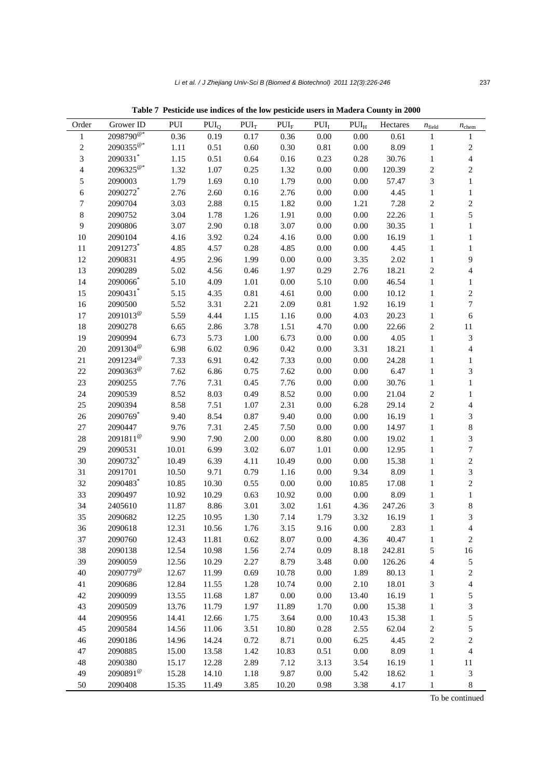| Order            | Grower ID                        | PUI   | PUI <sub>O</sub> | $PUI_T$  | $PUI_F$  | $PUI_I$  | $PUI_H$  | Hectares | $n_{\text{field}}$ | $n_{\text{chem}}$           |
|------------------|----------------------------------|-------|------------------|----------|----------|----------|----------|----------|--------------------|-----------------------------|
| $\mathbf{1}$     | $2098790^{\circ\circ}$           | 0.36  | 0.19             | 0.17     | 0.36     | $0.00\,$ | 0.00     | 0.61     | $\mathbf{1}$       | $\mathbf{1}$                |
| $\sqrt{2}$       | $2090355^{\circledast\ast}$      | 1.11  | 0.51             | 0.60     | 0.30     | 0.81     | 0.00     | 8.09     | $\mathbf 1$        | $\sqrt{2}$                  |
| $\sqrt{3}$       | 2090331*                         | 1.15  | 0.51             | 0.64     | 0.16     | 0.23     | 0.28     | 30.76    | $\mathbf 1$        | $\overline{4}$              |
| $\overline{4}$   | $2096325^{\circledast}$          | 1.32  | 1.07             | 0.25     | 1.32     | 0.00     | 0.00     | 120.39   | $\sqrt{2}$         | $\overline{c}$              |
| $\sqrt{5}$       | 2090003                          | 1.79  | 1.69             | $0.10\,$ | 1.79     | $0.00\,$ | 0.00     | 57.47    | $\overline{3}$     | $\,1$                       |
| $\sqrt{6}$       | 2090272*                         | 2.76  | 2.60             | $0.16\,$ | 2.76     | $0.00\,$ | $0.00\,$ | 4.45     | $\,1\,$            | $\,1$                       |
| $\boldsymbol{7}$ | 2090704                          | 3.03  | 2.88             | 0.15     | 1.82     | $0.00\,$ | 1.21     | 7.28     | $\sqrt{2}$         | $\overline{c}$              |
| $\,8\,$          | 2090752                          | 3.04  | 1.78             | 1.26     | 1.91     | $0.00\,$ | 0.00     | 22.26    | $1\,$              | 5                           |
| $\mathbf{9}$     | 2090806                          | 3.07  | 2.90             | $0.18\,$ | 3.07     | 0.00     | 0.00     | 30.35    | $1\,$              | $\,1$                       |
| $10\,$           | 2090104                          | 4.16  | 3.92             | 0.24     | 4.16     | $0.00\,$ | $0.00\,$ | 16.19    | $\,1$              | $\,1$                       |
| $11$             | 2091273*                         | 4.85  | 4.57             | 0.28     | 4.85     | $0.00\,$ | $0.00\,$ | 4.45     | $\mathbf{1}$       | $\,1$                       |
| 12               | 2090831                          | 4.95  | 2.96             | 1.99     | 0.00     | $0.00\,$ | 3.35     | 2.02     | $\,1$              | $\boldsymbol{9}$            |
| 13               | 2090289                          | 5.02  | 4.56             | 0.46     | 1.97     | 0.29     | 2.76     | 18.21    | $\sqrt{2}$         | $\overline{4}$              |
| 14               | 2090066*                         | 5.10  | 4.09             | 1.01     | $0.00\,$ | 5.10     | $0.00\,$ | 46.54    | $\,1$              | $\mathbf{1}$                |
| 15               | 2090431*                         | 5.15  | 4.35             | 0.81     | 4.61     | $0.00\,$ | 0.00     | 10.12    | $\mathbf{1}$       | $\overline{c}$              |
| 16               | 2090500                          | 5.52  | 3.31             | 2.21     | 2.09     | 0.81     | 1.92     | 16.19    | $\mathbf{1}$       | $\boldsymbol{7}$            |
| 17               | $2091013^\text{\textregistered}$ | 5.59  | 4.44             | 1.15     | 1.16     | $0.00\,$ | 4.03     | 20.23    | $\,1$              | $\sqrt{6}$                  |
| 18               | 2090278                          | 6.65  | 2.86             | 3.78     | 1.51     | 4.70     | 0.00     | 22.66    | $\sqrt{2}$         | $11\,$                      |
| 19               | 2090994                          | 6.73  | 5.73             | 1.00     | 6.73     | $0.00\,$ | 0.00     | 4.05     | $\mathbf{1}$       | $\mathfrak{Z}$              |
| $20\,$           | $2091304^\text{\textregistered}$ | 6.98  | 6.02             | 0.96     | 0.42     | $0.00\,$ | 3.31     | 18.21    | $\mathbf{1}$       | $\overline{4}$              |
| 21               | 2091234 <sup>@</sup>             | 7.33  | 6.91             | 0.42     | 7.33     | $0.00\,$ | 0.00     | 24.28    | $\mathbf{1}$       | $\mathbf{1}$                |
| 22               | $2090363^{\circ\circ}$           | 7.62  | 6.86             | 0.75     | 7.62     | 0.00     | 0.00     | 6.47     | $\mathbf{1}$       | 3                           |
| 23               | 2090255                          | 7.76  | 7.31             | 0.45     | 7.76     | $0.00\,$ | 0.00     | 30.76    | $\mathbf{1}$       | $\,1$                       |
| 24               | 2090539                          | 8.52  | 8.03             | 0.49     | 8.52     | 0.00     | 0.00     | 21.04    | $\sqrt{2}$         | $\,1$                       |
| 25               | 2090394                          | 8.58  | 7.51             | 1.07     | 2.31     | 0.00     | 6.28     | 29.14    | $\sqrt{2}$         | $\overline{4}$              |
| $26\,$           | 2090769*                         | 9.40  | 8.54             | 0.87     | 9.40     | 0.00     | 0.00     | 16.19    | $1\,$              | $\overline{\mathbf{3}}$     |
| $27\,$           | 2090447                          | 9.76  | 7.31             | 2.45     | 7.50     | $0.00\,$ | 0.00     | 14.97    | $\mathbf{1}$       | $\,8$                       |
| $28\,$           | $2091811^{\circ\circ}$           | 9.90  | 7.90             | 2.00     | 0.00     | 8.80     | 0.00     | 19.02    | $\mathbf{1}$       | 3                           |
| 29               | 2090531                          | 10.01 | 6.99             | 3.02     | 6.07     | 1.01     | 0.00     | 12.95    | $\mathbf{1}$       | $\overline{7}$              |
| 30               | 2090732*                         | 10.49 | 6.39             | 4.11     | 10.49    | $0.00\,$ | 0.00     | 15.38    | $\mathbf{1}$       | $\overline{c}$              |
| 31               | 2091701                          | 10.50 | 9.71             | 0.79     | 1.16     | 0.00     | 9.34     | 8.09     | $\mathbf{1}$       | 3                           |
| 32               | 2090483*                         | 10.85 | 10.30            | 0.55     | 0.00     | 0.00     | 10.85    | 17.08    | $\mathbf{1}$       | $\overline{c}$              |
| 33               | 2090497                          | 10.92 | 10.29            | 0.63     | 10.92    | $0.00\,$ | $0.00\,$ | 8.09     | $\,1$              | $\,1$                       |
| 34               | 2405610                          | 11.87 | 8.86             | 3.01     | 3.02     | 1.61     | 4.36     | 247.26   | $\mathfrak{Z}$     | 8                           |
| 35               | 2090682                          | 12.25 | 10.95            | 1.30     | 7.14     | 1.79     | 3.32     | 16.19    | $\,1$              | 3                           |
| 36               | 2090618                          | 12.31 | 10.56            | 1.76     | 3.15     | 9.16     | $0.00\,$ | 2.83     | 1                  | $\overline{4}$              |
| 37               | 2090760                          | 12.43 | 11.81            | 0.62     | 8.07     | 0.00     | 4.36     | 40.47    | $\mathbf{1}$       | $\sqrt{2}$                  |
| 38               | 2090138                          | 12.54 | 10.98            | 1.56     | 2.74     | 0.09     | 8.18     | 242.81   | $\sqrt{5}$         | 16                          |
| 39               | 2090059                          | 12.56 | 10.29            | 2.27     | 8.79     | 3.48     | $0.00\,$ | 126.26   | $\overline{4}$     | $\sqrt{5}$                  |
| 40               | 2090779 <sup>@</sup>             | 12.67 | 11.99            | 0.69     | 10.78    | $0.00\,$ | 1.89     | 80.13    | $\mathbf{1}$       | $\sqrt{2}$                  |
| 41               | 2090686                          | 12.84 | 11.55            | 1.28     | 10.74    | $0.00\,$ | 2.10     | 18.01    | $\mathfrak{Z}$     | $\overline{\mathcal{L}}$    |
| 42               | 2090099                          | 13.55 | 11.68            | 1.87     | $0.00\,$ | $0.00\,$ | 13.40    | 16.19    | $\mathbf{1}$       | $\sqrt{5}$                  |
| 43               | 2090509                          | 13.76 | 11.79            | 1.97     | 11.89    | 1.70     | $0.00\,$ | 15.38    | $\mathbf{1}$       | 3                           |
| 44               | 2090956                          | 14.41 | 12.66            | 1.75     | 3.64     | $0.00\,$ | 10.43    | 15.38    | $\mathbf{1}$       | 5                           |
| 45               | 2090584                          | 14.56 | 11.06            | 3.51     | 10.80    | 0.28     | 2.55     | 62.04    | $\sqrt{2}$         | 5                           |
| 46               | 2090186                          | 14.96 | 14.24            | 0.72     | 8.71     | $0.00\,$ | 6.25     | 4.45     | $\sqrt{2}$         | $\overline{c}$              |
| 47               | 2090885                          | 15.00 | 13.58            | 1.42     | 10.83    | 0.51     | $0.00\,$ | 8.09     | $\mathbf{1}$       | $\overline{4}$              |
| 48               | 2090380                          | 15.17 | 12.28            | 2.89     | 7.12     | 3.13     | 3.54     | 16.19    | $\mathbf{1}$       | $11\,$                      |
| 49               | $2090891^{\circ\circ}$           | 15.28 | 14.10            | 1.18     | 9.87     | $0.00\,$ | 5.42     | 18.62    | $\mathbf{1}$       | $\ensuremath{\mathfrak{Z}}$ |
| 50               | 2090408                          | 15.35 | 11.49            | 3.85     | 10.20    | 0.98     | 3.38     | 4.17     | $\mathbf{1}$       | 8                           |

**Table 7 Pesticide use indices of the low pesticide users in Madera County in 2000** 

To be continued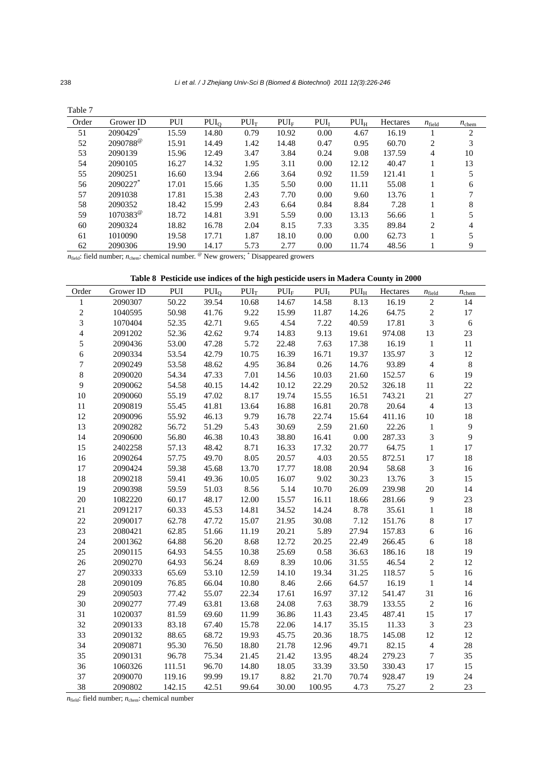| Table 7 |                        |       |           |                  |                  |         |           |          |                    |                |
|---------|------------------------|-------|-----------|------------------|------------------|---------|-----------|----------|--------------------|----------------|
| Order   | Grower ID              | PUI   | $PUI_{0}$ | PUI <sub>T</sub> | PUI <sub>F</sub> | $PUI_I$ | $PUI_{H}$ | Hectares | $n_{\text{field}}$ | $n_{\rm chem}$ |
| 51      | 2090429*               | 15.59 | 14.80     | 0.79             | 10.92            | 0.00    | 4.67      | 16.19    |                    | 2              |
| 52      | $2090788^{\circ\circ}$ | 15.91 | 14.49     | 1.42             | 14.48            | 0.47    | 0.95      | 60.70    | $\overline{c}$     | 3              |
| 53      | 2090139                | 15.96 | 12.49     | 3.47             | 3.84             | 0.24    | 9.08      | 137.59   | 4                  | 10             |
| 54      | 2090105                | 16.27 | 14.32     | 1.95             | 3.11             | 0.00    | 12.12     | 40.47    |                    | 13             |
| 55      | 2090251                | 16.60 | 13.94     | 2.66             | 3.64             | 0.92    | 11.59     | 121.41   |                    | 5              |
| 56      | 2090227*               | 17.01 | 15.66     | 1.35             | 5.50             | 0.00    | 11.11     | 55.08    |                    | 6              |
| 57      | 2091038                | 17.81 | 15.38     | 2.43             | 7.70             | 0.00    | 9.60      | 13.76    |                    | 7              |
| 58      | 2090352                | 18.42 | 15.99     | 2.43             | 6.64             | 0.84    | 8.84      | 7.28     |                    | 8              |
| 59      | $1070383^{\circ}$      | 18.72 | 14.81     | 3.91             | 5.59             | 0.00    | 13.13     | 56.66    |                    |                |
| 60      | 2090324                | 18.82 | 16.78     | 2.04             | 8.15             | 7.33    | 3.35      | 89.84    | $\overline{c}$     | 4              |
| 61      | 1010090                | 19.58 | 17.71     | 1.87             | 18.10            | 0.00    | 0.00      | 62.73    |                    |                |
| 62      | 2090306                | 19.90 | 14.17     | 5.73             | 2.77             | 0.00    | 11.74     | 48.56    |                    | 9              |

 $n_{\text{field}}$ : field number;  $n_{\text{chem}}$ : chemical number. <sup>@</sup> New growers; <sup>\*</sup> Disappeared growers

**Table 8 Pesticide use indices of the high pesticide users in Madera County in 2000**

| Order          | Grower ID | PUI    | PUI <sub>O</sub> | $PUI_T$ | PUI <sub>F</sub> | PUI <sub>I</sub> | $PUI_{H}$ | Hectares | $n_{\text{field}}$ | $n_{\text{chem}}$ |
|----------------|-----------|--------|------------------|---------|------------------|------------------|-----------|----------|--------------------|-------------------|
| $\mathbf{1}$   | 2090307   | 50.22  | 39.54            | 10.68   | 14.67            | 14.58            | 8.13      | 16.19    | $\sqrt{2}$         | 14                |
| $\overline{c}$ | 1040595   | 50.98  | 41.76            | 9.22    | 15.99            | 11.87            | 14.26     | 64.75    | $\sqrt{2}$         | $17\,$            |
| 3              | 1070404   | 52.35  | 42.71            | 9.65    | 4.54             | 7.22             | 40.59     | 17.81    | $\overline{3}$     | $\sqrt{6}$        |
| $\overline{4}$ | 2091202   | 52.36  | 42.62            | 9.74    | 14.83            | 9.13             | 19.61     | 974.08   | 13                 | 23                |
| $\mathfrak s$  | 2090436   | 53.00  | 47.28            | 5.72    | 22.48            | 7.63             | 17.38     | 16.19    | $\,1\,$            | $11\,$            |
| $\sqrt{6}$     | 2090334   | 53.54  | 42.79            | 10.75   | 16.39            | 16.71            | 19.37     | 135.97   | $\overline{3}$     | 12                |
| $\tau$         | 2090249   | 53.58  | 48.62            | 4.95    | 36.84            | 0.26             | 14.76     | 93.89    | $\overline{4}$     | $\,8\,$           |
| $\,8\,$        | 2090020   | 54.34  | 47.33            | 7.01    | 14.56            | 10.03            | 21.60     | 152.57   | $\sqrt{6}$         | 19                |
| 9              | 2090062   | 54.58  | 40.15            | 14.42   | 10.12            | 22.29            | 20.52     | 326.18   | $11\,$             | 22                |
| 10             | 2090060   | 55.19  | 47.02            | 8.17    | 19.74            | 15.55            | 16.51     | 743.21   | 21                 | $27\,$            |
| $11\,$         | 2090819   | 55.45  | 41.81            | 13.64   | 16.88            | 16.81            | 20.78     | 20.64    | $\overline{4}$     | 13                |
| $12\,$         | 2090096   | 55.92  | 46.13            | 9.79    | 16.78            | 22.74            | 15.64     | 411.16   | $10\,$             | 18                |
| 13             | 2090282   | 56.72  | 51.29            | 5.43    | 30.69            | 2.59             | 21.60     | 22.26    | $\,1\,$            | $\overline{9}$    |
| 14             | 2090600   | 56.80  | 46.38            | 10.43   | 38.80            | 16.41            | 0.00      | 287.33   | $\mathfrak{Z}$     | $\overline{9}$    |
| 15             | 2402258   | 57.13  | 48.42            | 8.71    | 16.33            | 17.32            | 20.77     | 64.75    | $\,1\,$            | $17\,$            |
| 16             | 2090264   | 57.75  | 49.70            | 8.05    | 20.57            | 4.03             | 20.55     | 872.51   | $17\,$             | 18                |
| 17             | 2090424   | 59.38  | 45.68            | 13.70   | 17.77            | 18.08            | 20.94     | 58.68    | $\mathfrak{Z}$     | 16                |
| 18             | 2090218   | 59.41  | 49.36            | 10.05   | 16.07            | 9.02             | 30.23     | 13.76    | $\mathfrak{Z}$     | 15                |
| 19             | 2090398   | 59.59  | 51.03            | 8.56    | 5.14             | 10.70            | 26.09     | 239.98   | 20                 | 14                |
| 20             | 1082220   | 60.17  | 48.17            | 12.00   | 15.57            | 16.11            | 18.66     | 281.66   | 9                  | 23                |
| 21             | 2091217   | 60.33  | 45.53            | 14.81   | 34.52            | 14.24            | 8.78      | 35.61    | $\,1$              | 18                |
| $22\,$         | 2090017   | 62.78  | 47.72            | 15.07   | 21.95            | 30.08            | 7.12      | 151.76   | $8\,$              | $17\,$            |
| 23             | 2080421   | 62.85  | 51.66            | 11.19   | 20.21            | 5.89             | 27.94     | 157.83   | $\sqrt{6}$         | 16                |
| 24             | 2001362   | 64.88  | 56.20            | 8.68    | 12.72            | 20.25            | 22.49     | 266.45   | $\sqrt{6}$         | 18                |
| 25             | 2090115   | 64.93  | 54.55            | 10.38   | 25.69            | 0.58             | 36.63     | 186.16   | $18\,$             | 19                |
| 26             | 2090270   | 64.93  | 56.24            | 8.69    | 8.39             | 10.06            | 31.55     | 46.54    | $\sqrt{2}$         | 12                |
| 27             | 2090333   | 65.69  | 53.10            | 12.59   | 14.10            | 19.34            | 31.25     | 118.57   | 5                  | 16                |
| 28             | 2090109   | 76.85  | 66.04            | 10.80   | 8.46             | 2.66             | 64.57     | 16.19    | $\,1\,$            | 14                |
| 29             | 2090503   | 77.42  | 55.07            | 22.34   | 17.61            | 16.97            | 37.12     | 541.47   | 31                 | 16                |
| 30             | 2090277   | 77.49  | 63.81            | 13.68   | 24.08            | 7.63             | 38.79     | 133.55   | $\sqrt{2}$         | 16                |
| 31             | 1020037   | 81.59  | 69.60            | 11.99   | 36.86            | 11.43            | 23.45     | 487.41   | 15                 | $17\,$            |
| 32             | 2090133   | 83.18  | 67.40            | 15.78   | 22.06            | 14.17            | 35.15     | 11.33    | $\mathfrak{Z}$     | $23\,$            |
| 33             | 2090132   | 88.65  | 68.72            | 19.93   | 45.75            | 20.36            | 18.75     | 145.08   | $12\,$             | 12                |
| 34             | 2090871   | 95.30  | 76.50            | 18.80   | 21.78            | 12.96            | 49.71     | 82.15    | $\overline{4}$     | 28                |
| 35             | 2090131   | 96.78  | 75.34            | 21.45   | 21.42            | 13.95            | 48.24     | 279.23   | $\boldsymbol{7}$   | 35                |
| 36             | 1060326   | 111.51 | 96.70            | 14.80   | 18.05            | 33.39            | 33.50     | 330.43   | 17                 | 15                |
| 37             | 2090070   | 119.16 | 99.99            | 19.17   | 8.82             | 21.70            | 70.74     | 928.47   | 19                 | 24                |
| 38             | 2090802   | 142.15 | 42.51            | 99.64   | 30.00            | 100.95           | 4.73      | 75.27    | $\overline{2}$     | 23                |

*n*<sub>field</sub>: field number; *n*<sub>chem</sub>: chemical number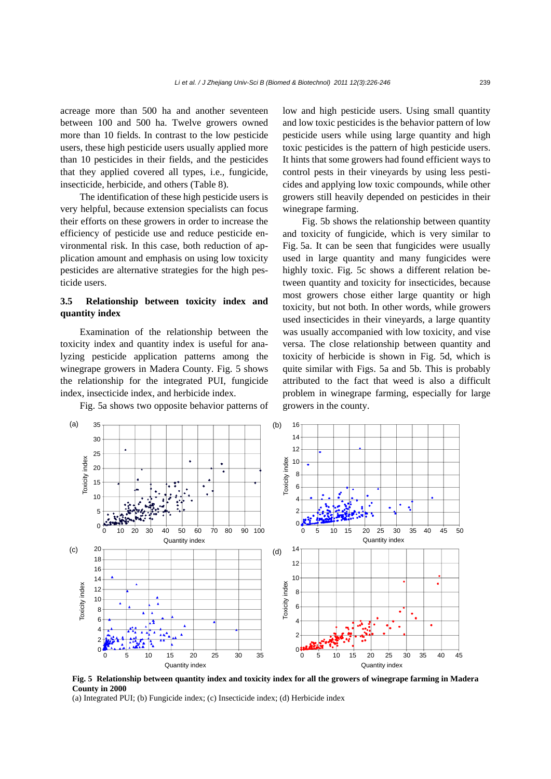acreage more than 500 ha and another seventeen between 100 and 500 ha. Twelve growers owned more than 10 fields. In contrast to the low pesticide users, these high pesticide users usually applied more than 10 pesticides in their fields, and the pesticides that they applied covered all types, i.e., fungicide, insecticide, herbicide, and others (Table 8).

The identification of these high pesticide users is very helpful, because extension specialists can focus their efforts on these growers in order to increase the efficiency of pesticide use and reduce pesticide environmental risk. In this case, both reduction of application amount and emphasis on using low toxicity pesticides are alternative strategies for the high pesticide users.

# **3.5 Relationship between toxicity index and quantity index**

Examination of the relationship between the toxicity index and quantity index is useful for analyzing pesticide application patterns among the winegrape growers in Madera County. Fig. 5 shows the relationship for the integrated PUI, fungicide index, insecticide index, and herbicide index.

Fig. 5a shows two opposite behavior patterns of

low and high pesticide users. Using small quantity and low toxic pesticides is the behavior pattern of low pesticide users while using large quantity and high toxic pesticides is the pattern of high pesticide users. It hints that some growers had found efficient ways to control pests in their vineyards by using less pesticides and applying low toxic compounds, while other growers still heavily depended on pesticides in their winegrape farming.

Fig. 5b shows the relationship between quantity and toxicity of fungicide, which is very similar to Fig. 5a. It can be seen that fungicides were usually used in large quantity and many fungicides were highly toxic. Fig. 5c shows a different relation between quantity and toxicity for insecticides, because most growers chose either large quantity or high toxicity, but not both. In other words, while growers used insecticides in their vineyards, a large quantity was usually accompanied with low toxicity, and vise versa. The close relationship between quantity and toxicity of herbicide is shown in Fig. 5d, which is quite similar with Figs. 5a and 5b. This is probably attributed to the fact that weed is also a difficult problem in winegrape farming, especially for large growers in the county.



**Fig. 5 Relationship between quantity index and toxicity index for all the growers of winegrape farming in Madera County in 2000** 

(a) Integrated PUI; (b) Fungicide index; (c) Insecticide index; (d) Herbicide index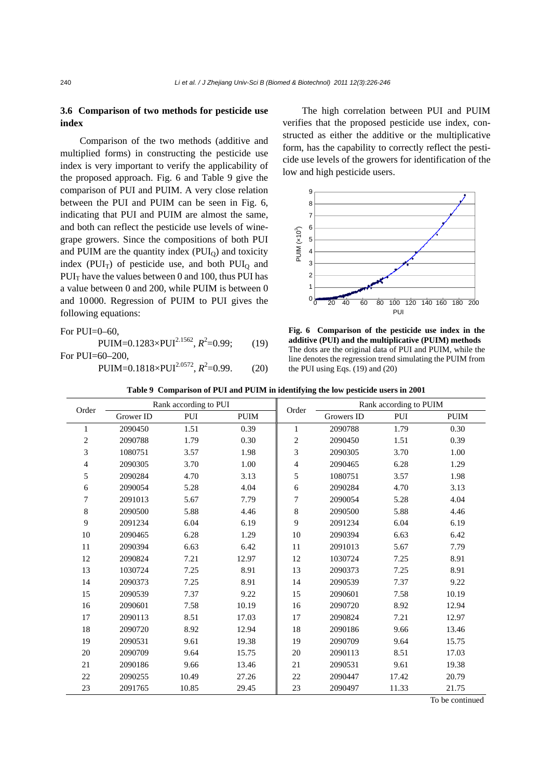# **3.6 Comparison of two methods for pesticide use index**

Comparison of the two methods (additive and multiplied forms) in constructing the pesticide use index is very important to verify the applicability of the proposed approach. Fig. 6 and Table 9 give the comparison of PUI and PUIM. A very close relation between the PUI and PUIM can be seen in Fig. 6, indicating that PUI and PUIM are almost the same, and both can reflect the pesticide use levels of winegrape growers. Since the compositions of both PUI and PUIM are the quantity index  $(PUI<sub>O</sub>)$  and toxicity index ( $PUI_T$ ) of pesticide use, and both  $PUI_O$  and  $PUI<sub>T</sub>$  have the values between 0 and 100, thus PUI has a value between 0 and 200, while PUIM is between 0 and 10000. Regression of PUIM to PUI gives the following equations:

For PUI=0-60,  
PUIM=0.1283×PUI<sup>2.1562</sup>, 
$$
R^2
$$
=0.99; (19)

For PUI=60–200,  
PUIM=0.1818×PUI<sup>2.0572</sup>, 
$$
R^2
$$
=0.99. (20)

The high correlation between PUI and PUIM verifies that the proposed pesticide use index, constructed as either the additive or the multiplicative form, has the capability to correctly reflect the pesticide use levels of the growers for identification of the low and high pesticide users.



**Fig. 6 Comparison of the pesticide use index in the additive (PUI) and the multiplicative (PUIM) methods**  The dots are the original data of PUI and PUIM, while the line denotes the regression trend simulating the PUIM from the PUI using Eqs. (19) and (20)

| Order          |           | Rank according to PUI |             | Order          | Rank according to PUIM |       |                 |  |
|----------------|-----------|-----------------------|-------------|----------------|------------------------|-------|-----------------|--|
|                | Grower ID | PUI                   | <b>PUIM</b> |                | Growers ID             | PUI   | <b>PUIM</b>     |  |
| 1              | 2090450   | 1.51                  | 0.39        | 1              | 2090788                | 1.79  | 0.30            |  |
| $\mathbf{2}$   | 2090788   | 1.79                  | 0.30        | $\overline{c}$ | 2090450                | 1.51  | 0.39            |  |
| 3              | 1080751   | 3.57                  | 1.98        | 3              | 2090305                | 3.70  | 1.00            |  |
| $\overline{4}$ | 2090305   | 3.70                  | 1.00        | 4              | 2090465                | 6.28  | 1.29            |  |
| 5              | 2090284   | 4.70                  | 3.13        | 5              | 1080751                | 3.57  | 1.98            |  |
| 6              | 2090054   | 5.28                  | 4.04        | 6              | 2090284                | 4.70  | 3.13            |  |
| $\tau$         | 2091013   | 5.67                  | 7.79        | 7              | 2090054                | 5.28  | 4.04            |  |
| $\,8\,$        | 2090500   | 5.88                  | 4.46        | $\,$ 8 $\,$    | 2090500                | 5.88  | 4.46            |  |
| 9              | 2091234   | 6.04                  | 6.19        | 9              | 2091234                | 6.04  | 6.19            |  |
| 10             | 2090465   | 6.28                  | 1.29        | 10             | 2090394                | 6.63  | 6.42            |  |
| 11             | 2090394   | 6.63                  | 6.42        | 11             | 2091013                | 5.67  | 7.79            |  |
| 12             | 2090824   | 7.21                  | 12.97       | 12             | 1030724                | 7.25  | 8.91            |  |
| 13             | 1030724   | 7.25                  | 8.91        | 13             | 2090373                | 7.25  | 8.91            |  |
| 14             | 2090373   | 7.25                  | 8.91        | 14             | 2090539                | 7.37  | 9.22            |  |
| 15             | 2090539   | 7.37                  | 9.22        | 15             | 2090601                | 7.58  | 10.19           |  |
| 16             | 2090601   | 7.58                  | 10.19       | 16             | 2090720                | 8.92  | 12.94           |  |
| 17             | 2090113   | 8.51                  | 17.03       | 17             | 2090824                | 7.21  | 12.97           |  |
| 18             | 2090720   | 8.92                  | 12.94       | 18             | 2090186                | 9.66  | 13.46           |  |
| 19             | 2090531   | 9.61                  | 19.38       | 19             | 2090709                | 9.64  | 15.75           |  |
| 20             | 2090709   | 9.64                  | 15.75       | 20             | 2090113                | 8.51  | 17.03           |  |
| 21             | 2090186   | 9.66                  | 13.46       | 21             | 2090531                | 9.61  | 19.38           |  |
| 22             | 2090255   | 10.49                 | 27.26       | 22             | 2090447                | 17.42 | 20.79           |  |
| 23             | 2091765   | 10.85                 | 29.45       | 23             | 2090497                | 11.33 | 21.75           |  |
|                |           |                       |             |                |                        |       | To be continued |  |

**Table 9 Comparison of PUI and PUIM in identifying the low pesticide users in 2001**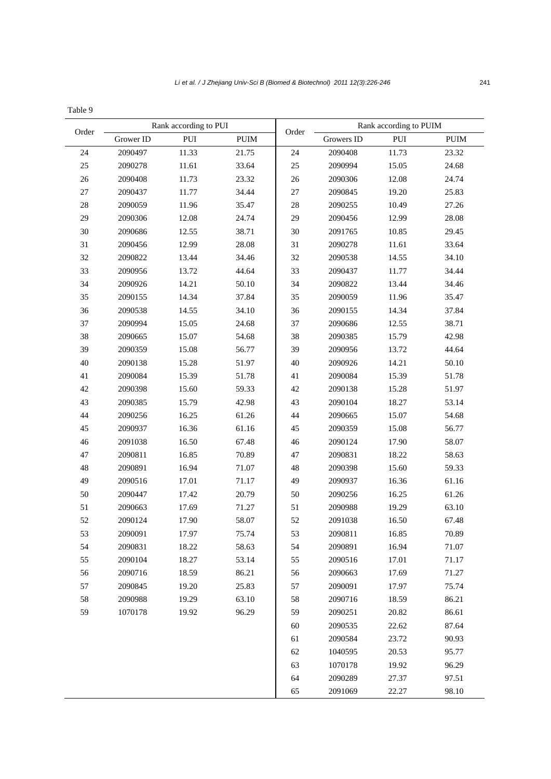| Rank according to PUI<br>Order |           |       |             | Rank according to PUIM |            |       |             |
|--------------------------------|-----------|-------|-------------|------------------------|------------|-------|-------------|
|                                | Grower ID | PUI   | $\sf P UIM$ | Order                  | Growers ID | PUI   | $\rm P UIM$ |
| 24                             | 2090497   | 11.33 | 21.75       | 24                     | 2090408    | 11.73 | 23.32       |
| $25\,$                         | 2090278   | 11.61 | 33.64       | 25                     | 2090994    | 15.05 | 24.68       |
| 26                             | 2090408   | 11.73 | 23.32       | 26                     | 2090306    | 12.08 | 24.74       |
| $27\,$                         | 2090437   | 11.77 | 34.44       | $27\,$                 | 2090845    | 19.20 | 25.83       |
| 28                             | 2090059   | 11.96 | 35.47       | 28                     | 2090255    | 10.49 | 27.26       |
| 29                             | 2090306   | 12.08 | 24.74       | 29                     | 2090456    | 12.99 | 28.08       |
| 30                             | 2090686   | 12.55 | 38.71       | 30                     | 2091765    | 10.85 | 29.45       |
| 31                             | 2090456   | 12.99 | 28.08       | 31                     | 2090278    | 11.61 | 33.64       |
| $32\,$                         | 2090822   | 13.44 | 34.46       | 32                     | 2090538    | 14.55 | 34.10       |
| 33                             | 2090956   | 13.72 | 44.64       | 33                     | 2090437    | 11.77 | 34.44       |
| 34                             | 2090926   | 14.21 | 50.10       | 34                     | 2090822    | 13.44 | 34.46       |
| 35                             | 2090155   | 14.34 | 37.84       | 35                     | 2090059    | 11.96 | 35.47       |
| 36                             | 2090538   | 14.55 | 34.10       | 36                     | 2090155    | 14.34 | 37.84       |
| 37                             | 2090994   | 15.05 | 24.68       | 37                     | 2090686    | 12.55 | 38.71       |
| 38                             | 2090665   | 15.07 | 54.68       | 38                     | 2090385    | 15.79 | 42.98       |
| 39                             | 2090359   | 15.08 | 56.77       | 39                     | 2090956    | 13.72 | 44.64       |
| 40                             | 2090138   | 15.28 | 51.97       | 40                     | 2090926    | 14.21 | 50.10       |
| 41                             | 2090084   | 15.39 | 51.78       | 41                     | 2090084    | 15.39 | 51.78       |
| 42                             | 2090398   | 15.60 | 59.33       | 42                     | 2090138    | 15.28 | 51.97       |
| 43                             | 2090385   | 15.79 | 42.98       | 43                     | 2090104    | 18.27 | 53.14       |
| 44                             | 2090256   | 16.25 | 61.26       | 44                     | 2090665    | 15.07 | 54.68       |
| $45\,$                         | 2090937   | 16.36 | 61.16       | 45                     | 2090359    | 15.08 | 56.77       |
| 46                             | 2091038   | 16.50 | 67.48       | 46                     | 2090124    | 17.90 | 58.07       |
| $47\,$                         | 2090811   | 16.85 | 70.89       | 47                     | 2090831    | 18.22 | 58.63       |
| 48                             | 2090891   | 16.94 | 71.07       | 48                     | 2090398    | 15.60 | 59.33       |
| 49                             | 2090516   | 17.01 | 71.17       | 49                     | 2090937    | 16.36 | 61.16       |
| 50                             | 2090447   | 17.42 | 20.79       | 50                     | 2090256    | 16.25 | 61.26       |
| 51                             | 2090663   | 17.69 | 71.27       | 51                     | 2090988    | 19.29 | 63.10       |
| 52                             | 2090124   | 17.90 | 58.07       | 52                     | 2091038    | 16.50 | 67.48       |
| 53                             | 2090091   | 17.97 | 75.74       | 53                     | 2090811    | 16.85 | 70.89       |
| 54                             | 2090831   | 18.22 | 58.63       | 54                     | 2090891    | 16.94 | 71.07       |
| 55                             | 2090104   | 18.27 | 53.14       | 55                     | 2090516    | 17.01 | 71.17       |
| 56                             | 2090716   | 18.59 | 86.21       | 56                     | 2090663    | 17.69 | 71.27       |
| 57                             | 2090845   | 19.20 | 25.83       | 57                     | 2090091    | 17.97 | 75.74       |
| 58                             | 2090988   | 19.29 | 63.10       | 58                     | 2090716    | 18.59 | 86.21       |
| 59                             | 1070178   | 19.92 | 96.29       | 59                     | 2090251    | 20.82 | 86.61       |
|                                |           |       |             | 60                     | 2090535    | 22.62 | 87.64       |
|                                |           |       |             | 61                     | 2090584    | 23.72 | 90.93       |
|                                |           |       |             | 62                     | 1040595    | 20.53 | 95.77       |
|                                |           |       |             | 63                     | 1070178    | 19.92 | 96.29       |
|                                |           |       |             | 64                     | 2090289    | 27.37 | 97.51       |
|                                |           |       |             | 65                     | 2091069    | 22.27 | 98.10       |

Table 9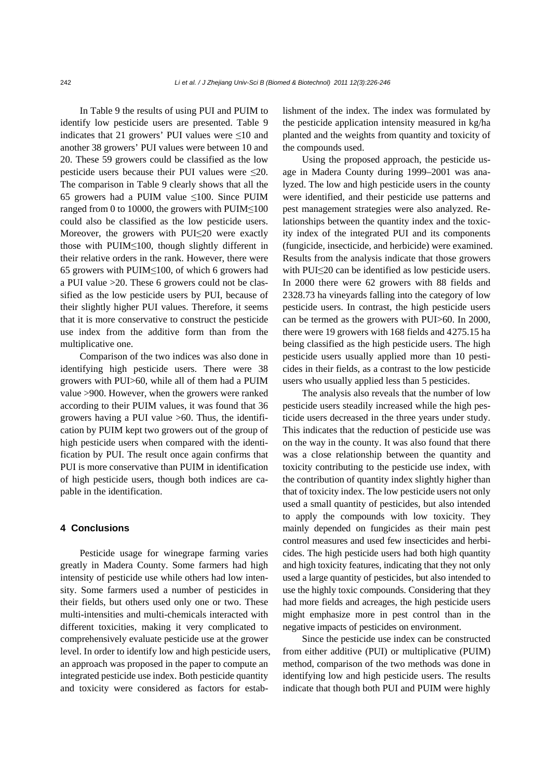In Table 9 the results of using PUI and PUIM to identify low pesticide users are presented. Table 9 indicates that 21 growers' PUI values were  $\leq 10$  and another 38 growers' PUI values were between 10 and 20. These 59 growers could be classified as the low pesticide users because their PUI values were ≤20. The comparison in Table 9 clearly shows that all the 65 growers had a PUIM value  $\leq$ 100. Since PUIM ranged from 0 to 10000, the growers with PUIM≤100 could also be classified as the low pesticide users. Moreover, the growers with PUI≤20 were exactly those with PUIM≤100, though slightly different in their relative orders in the rank. However, there were 65 growers with PUIM≤100, of which 6 growers had a PUI value >20. These 6 growers could not be classified as the low pesticide users by PUI, because of their slightly higher PUI values. Therefore, it seems that it is more conservative to construct the pesticide use index from the additive form than from the multiplicative one.

Comparison of the two indices was also done in identifying high pesticide users. There were 38 growers with PUI>60, while all of them had a PUIM value >900. However, when the growers were ranked according to their PUIM values, it was found that 36 growers having a PUI value  $>60$ . Thus, the identification by PUIM kept two growers out of the group of high pesticide users when compared with the identification by PUI. The result once again confirms that PUI is more conservative than PUIM in identification of high pesticide users, though both indices are capable in the identification.

# **4 Conclusions**

Pesticide usage for winegrape farming varies greatly in Madera County. Some farmers had high intensity of pesticide use while others had low intensity. Some farmers used a number of pesticides in their fields, but others used only one or two. These multi-intensities and multi-chemicals interacted with different toxicities, making it very complicated to comprehensively evaluate pesticide use at the grower level. In order to identify low and high pesticide users, an approach was proposed in the paper to compute an integrated pesticide use index. Both pesticide quantity and toxicity were considered as factors for establishment of the index. The index was formulated by the pesticide application intensity measured in kg/ha planted and the weights from quantity and toxicity of the compounds used.

Using the proposed approach, the pesticide usage in Madera County during 1999–2001 was analyzed. The low and high pesticide users in the county were identified, and their pesticide use patterns and pest management strategies were also analyzed. Relationships between the quantity index and the toxicity index of the integrated PUI and its components (fungicide, insecticide, and herbicide) were examined. Results from the analysis indicate that those growers with PUI≤20 can be identified as low pesticide users. In 2000 there were 62 growers with 88 fields and 2328.73 ha vineyards falling into the category of low pesticide users. In contrast, the high pesticide users can be termed as the growers with PUI>60. In 2000, there were 19 growers with 168 fields and 4275.15 ha being classified as the high pesticide users. The high pesticide users usually applied more than 10 pesticides in their fields, as a contrast to the low pesticide users who usually applied less than 5 pesticides.

The analysis also reveals that the number of low pesticide users steadily increased while the high pesticide users decreased in the three years under study. This indicates that the reduction of pesticide use was on the way in the county. It was also found that there was a close relationship between the quantity and toxicity contributing to the pesticide use index, with the contribution of quantity index slightly higher than that of toxicity index. The low pesticide users not only used a small quantity of pesticides, but also intended to apply the compounds with low toxicity. They mainly depended on fungicides as their main pest control measures and used few insecticides and herbicides. The high pesticide users had both high quantity and high toxicity features, indicating that they not only used a large quantity of pesticides, but also intended to use the highly toxic compounds. Considering that they had more fields and acreages, the high pesticide users might emphasize more in pest control than in the negative impacts of pesticides on environment.

Since the pesticide use index can be constructed from either additive (PUI) or multiplicative (PUIM) method, comparison of the two methods was done in identifying low and high pesticide users. The results indicate that though both PUI and PUIM were highly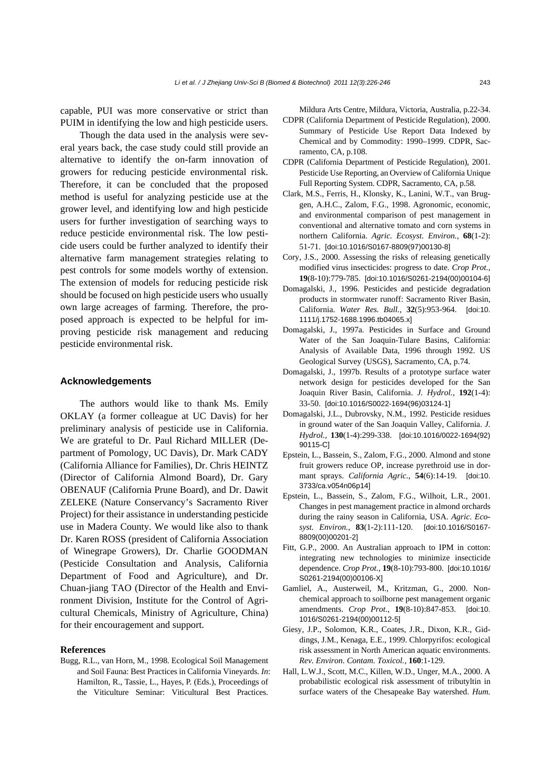capable, PUI was more conservative or strict than PUIM in identifying the low and high pesticide users.

Though the data used in the analysis were several years back, the case study could still provide an alternative to identify the on-farm innovation of growers for reducing pesticide environmental risk. Therefore, it can be concluded that the proposed method is useful for analyzing pesticide use at the grower level, and identifying low and high pesticide users for further investigation of searching ways to reduce pesticide environmental risk. The low pesticide users could be further analyzed to identify their alternative farm management strategies relating to pest controls for some models worthy of extension. The extension of models for reducing pesticide risk should be focused on high pesticide users who usually own large acreages of farming. Therefore, the proposed approach is expected to be helpful for improving pesticide risk management and reducing pesticide environmental risk.

## **Acknowledgements**

The authors would like to thank Ms. Emily OKLAY (a former colleague at UC Davis) for her preliminary analysis of pesticide use in California. We are grateful to Dr. Paul Richard MILLER (Department of Pomology, UC Davis), Dr. Mark CADY (California Alliance for Families), Dr. Chris HEINTZ (Director of California Almond Board), Dr. Gary OBENAUF (California Prune Board), and Dr. Dawit ZELEKE (Nature Conservancy's Sacramento River Project) for their assistance in understanding pesticide use in Madera County. We would like also to thank Dr. Karen ROSS (president of California Association of Winegrape Growers), Dr. Charlie GOODMAN (Pesticide Consultation and Analysis, California Department of Food and Agriculture), and Dr. Chuan-jiang TAO (Director of the Health and Environment Division, Institute for the Control of Agricultural Chemicals, Ministry of Agriculture, China) for their encouragement and support.

## **References**

Bugg, R.L., van Horn, M., 1998. Ecological Soil Management and Soil Fauna: Best Practices in California Vineyards. *In*: Hamilton, R., Tassie, L., Hayes, P. (Eds.), Proceedings of the Viticulture Seminar: Viticultural Best Practices.

Mildura Arts Centre, Mildura, Victoria, Australia, p.22-34.

- CDPR (California Department of Pesticide Regulation), 2000. Summary of Pesticide Use Report Data Indexed by Chemical and by Commodity: 1990–1999. CDPR, Sacramento, CA, p.108.
- CDPR (California Department of Pesticide Regulation), 2001. Pesticide Use Reporting, an Overview of California Unique Full Reporting System. CDPR, Sacramento, CA, p.58.
- Clark, M.S., Ferris, H., Klonsky, K., Lanini, W.T., van Bruggen, A.H.C., Zalom, F.G., 1998. Agronomic, economic, and environmental comparison of pest management in conventional and alternative tomato and corn systems in northern California. *Agric. Ecosyst. Environ.*, **68**(1-2): 51-71. [doi:10.1016/S0167-8809(97)00130-8]
- Cory, J.S., 2000. Assessing the risks of releasing genetically modified virus insecticides: progress to date. *Crop Prot.*, **19**(8-10):779-785. [doi:10.1016/S0261-2194(00)00104-6]
- Domagalski, J., 1996. Pesticides and pesticide degradation products in stormwater runoff: Sacramento River Basin, California. *Water Res. Bull.*, **32**(5):953-964. [doi:10. 1111/j.1752-1688.1996.tb04065.x]
- Domagalski, J., 1997a. Pesticides in Surface and Ground Water of the San Joaquin-Tulare Basins, California: Analysis of Available Data, 1996 through 1992. US Geological Survey (USGS), Sacramento, CA, p.74.
- Domagalski, J., 1997b. Results of a prototype surface water network design for pesticides developed for the San Joaquin River Basin, California. *J. Hydrol.*, **192**(1-4): 33-50. [doi:10.1016/S0022-1694(96)03124-1]
- Domagalski, J.L., Dubrovsky, N.M., 1992. Pesticide residues in ground water of the San Joaquin Valley, California. *J. Hydrol.*, **130**(1-4):299-338. [doi:10.1016/0022-1694(92) 90115-C]
- Epstein, L., Bassein, S., Zalom, F.G., 2000. Almond and stone fruit growers reduce OP, increase pyrethroid use in dormant sprays. *California Agric.*, **54**(6):14-19. [doi:10. 3733/ca.v054n06p14]
- Epstein, L., Bassein, S., Zalom, F.G., Wilhoit, L.R., 2001. Changes in pest management practice in almond orchards during the rainy season in California, USA. *Agric. Ecosyst. Environ.*, **83**(1-2):111-120. [doi:10.1016/S0167- 8809(00)00201-2]
- Fitt, G.P., 2000. An Australian approach to IPM in cotton: integrating new technologies to minimize insecticide dependence. *Crop Prot.*, **19**(8-10):793-800. [doi:10.1016/ S0261-2194(00)00106-X]
- Gamliel, A., Austerweil, M., Kritzman, G., 2000. Nonchemical approach to soilborne pest management organic amendments. *Crop Prot.*, **19**(8-10):847-853. [doi:10. 1016/S0261-2194(00)00112-5]
- Giesy, J.P., Solomon, K.R., Coates, J.R., Dixon, K.R., Giddings, J.M., Kenaga, E.E., 1999. Chlorpyrifos: ecological risk assessment in North American aquatic environments. *Rev. Environ. Contam. Toxicol.*, **160**:1-129.
- Hall, L.W.J., Scott, M.C., Killen, W.D., Unger, M.A., 2000. A probabilistic ecological risk assessment of tributyltin in surface waters of the Chesapeake Bay watershed. *Hum.*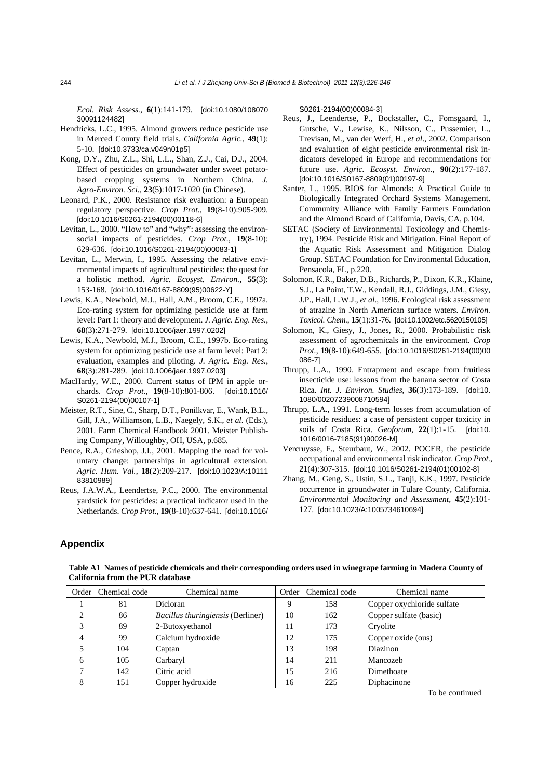*Ecol. Risk Assess.*, **6**(1):141-179. [doi:10.1080/108070 30091124482]

- Hendricks, L.C., 1995. Almond growers reduce pesticide use in Merced County field trials. *California Agric.*, **49**(1): 5-10. [doi:10.3733/ca.v049n01p5]
- Kong, D.Y., Zhu, Z.L., Shi, L.L., Shan, Z.J., Cai, D.J., 2004. Effect of pesticides on groundwater under sweet potatobased cropping systems in Northern China. *J. Agro-Environ. Sci.*, **23**(5):1017-1020 (in Chinese).
- Leonard, P.K., 2000. Resistance risk evaluation: a European regulatory perspective. *Crop Prot.*, **19**(8-10):905-909. [doi:10.1016/S0261-2194(00)00118-6]
- Levitan, L., 2000. "How to" and "why": assessing the environsocial impacts of pesticides. *Crop Prot.*, **19**(8-10): 629-636. [doi:10.1016/S0261-2194(00)00083-1]
- Levitan, L., Merwin, I., 1995. Assessing the relative environmental impacts of agricultural pesticides: the quest for a holistic method. *Agric. Ecosyst. Environ.*, **55**(3): 153-168. [doi:10.1016/0167-8809(95)00622-Y]
- Lewis, K.A., Newbold, M.J., Hall, A.M., Broom, C.E., 1997a. Eco-rating system for optimizing pesticide use at farm level: Part 1: theory and development. *J. Agric. Eng. Res.*, **68**(3):271-279. [doi:10.1006/jaer.1997.0202]
- Lewis, K.A., Newbold, M.J., Broom, C.E., 1997b. Eco-rating system for optimizing pesticide use at farm level: Part 2: evaluation, examples and piloting. *J. Agric. Eng. Res.*, **68**(3):281-289. [doi:10.1006/jaer.1997.0203]
- MacHardy, W.E., 2000. Current status of IPM in apple orchards. *Crop Prot.*, **19**(8-10):801-806. [doi:10.1016/ S0261-2194(00)00107-1]
- Meister, R.T., Sine, C., Sharp, D.T., Ponilkvar, E., Wank, B.L., Gill, J.A., Williamson, L.B., Naegely, S.K., *et al*. (Eds.), 2001. Farm Chemical Handbook 2001. Meister Publishing Company, Willoughby, OH, USA, p.685.
- Pence, R.A., Grieshop, J.I., 2001. Mapping the road for voluntary change: partnerships in agricultural extension. *Agric. Hum. Val.*, **18**(2):209-217. [doi:10.1023/A:10111 83810989]
- Reus, J.A.W.A., Leendertse, P.C., 2000. The environmental yardstick for pesticides: a practical indicator used in the Netherlands. *Crop Prot.*, **19**(8-10):637-641. [doi:10.1016/

S0261-2194(00)00084-3]

- Reus, J., Leendertse, P., Bockstaller, C., Fomsgaard, I., Gutsche, V., Lewise, K., Nilsson, C., Pussemier, L., Trevisan, M., van der Werf, H., *et al*., 2002. Comparison and evaluation of eight pesticide environmental risk indicators developed in Europe and recommendations for future use. *Agric. Ecosyst. Environ.*, **90**(2):177-187. [doi:10.1016/S0167-8809(01)00197-9]
- Santer, L., 1995. BIOS for Almonds: A Practical Guide to Biologically Integrated Orchard Systems Management. Community Alliance with Family Farmers Foundation and the Almond Board of California, Davis, CA, p.104.
- SETAC (Society of Environmental Toxicology and Chemistry), 1994. Pesticide Risk and Mitigation. Final Report of the Aquatic Risk Assessment and Mitigation Dialog Group. SETAC Foundation for Environmental Education, Pensacola, FL, p.220.
- Solomon, K.R., Baker, D.B., Richards, P., Dixon, K.R., Klaine, S.J., La Point, T.W., Kendall, R.J., Giddings, J.M., Giesy, J.P., Hall, L.W.J., *et al*., 1996. Ecological risk assessment of atrazine in North American surface waters. *Environ. Toxicol. Chem.*, **15**(1):31-76. [doi:10.1002/etc.5620150105]
- Solomon, K., Giesy, J., Jones, R., 2000. Probabilistic risk assessment of agrochemicals in the environment. *Crop Prot.*, **19**(8-10):649-655. [doi:10.1016/S0261-2194(00)00 086-7]
- Thrupp, L.A., 1990. Entrapment and escape from fruitless insecticide use: lessons from the banana sector of Costa Rica. *Int. J. Environ. Studies*, **36**(3):173-189. [doi:10. 1080/00207239008710594]
- Thrupp, L.A., 1991. Long-term losses from accumulation of pesticide residues: a case of persistent copper toxicity in soils of Costa Rica. *Geoforum*, **22**(1):1-15. [doi:10. 1016/0016-7185(91)90026-M]
- Vercruysse, F., Steurbaut, W., 2002. POCER, the pesticide occupational and environmental risk indicator. *Crop Prot.*, **21**(4):307-315. [doi:10.1016/S0261-2194(01)00102-8]
- Zhang, M., Geng, S., Ustin, S.L., Tanji, K.K., 1997. Pesticide occurrence in groundwater in Tulare County, California. *Environmental Monitoring and Assessment*, **45**(2):101- 127. [doi:10.1023/A:1005734610694]

# **Appendix**

|   | Order Chemical code | Chemical name                            |    | Order Chemical code | Chemical name              |
|---|---------------------|------------------------------------------|----|---------------------|----------------------------|
|   | 81                  | <b>Dicloran</b>                          | 9  | 158                 | Copper oxychloride sulfate |
| ↑ | 86                  | <i>Bacillus thuringiensis</i> (Berliner) | 10 | 162                 | Copper sulfate (basic)     |
| 3 | 89                  | 2-Butoxyethanol                          | 11 | 173                 | Cryolite                   |
| 4 | 99                  | Calcium hydroxide                        | 12 | 175                 | Copper oxide (ous)         |
|   | 104                 | Captan                                   | 13 | 198                 | Diazinon                   |
| 6 | 105                 | Carbaryl                                 | 14 | 211                 | Mancozeb                   |
|   | 142                 | Citric acid                              | 15 | 216                 | Dimethoate                 |
| 8 | 151                 | Copper hydroxide                         | 16 | 225                 | Diphacinone                |

**Table A1 Names of pesticide chemicals and their corresponding orders used in winegrape farming in Madera County of California from the PUR database**

To be continued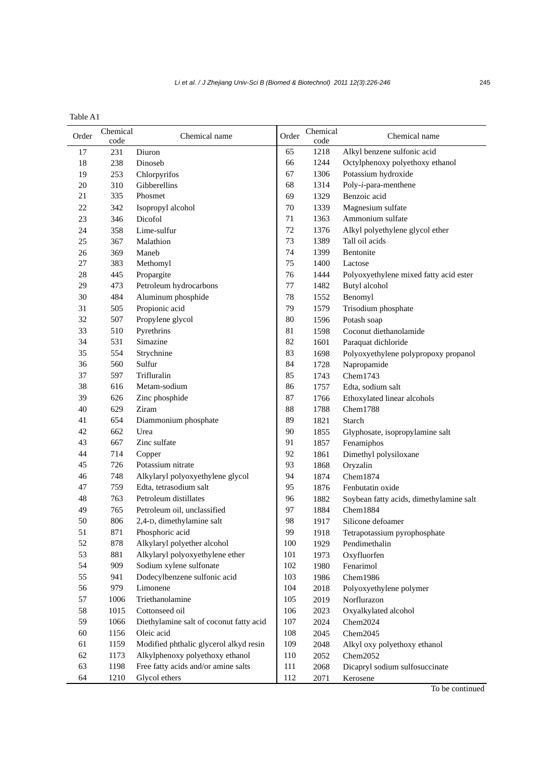| nie<br>٧ |
|----------|
|----------|

| Order | Chemical<br>code | Chemical name                           | Order | Chemical<br>code | Chemical name                           |
|-------|------------------|-----------------------------------------|-------|------------------|-----------------------------------------|
| 17    | 231              | Diuron                                  | 65    | 1218             | Alkyl benzene sulfonic acid             |
| 18    | 238              | Dinoseb                                 | 66    | 1244             | Octylphenoxy polyethoxy ethanol         |
| 19    | 253              | Chlorpyrifos                            | 67    | 1306             | Potassium hydroxide                     |
| 20    | 310              | Gibberellins                            | 68    | 1314             | Poly-i-para-menthene                    |
| 21    | 335              | Phosmet                                 | 69    | 1329             | Benzoic acid                            |
| 22    | 342              | Isopropyl alcohol                       | 70    | 1339             | Magnesium sulfate                       |
| 23    | 346              | Dicofol                                 | 71    | 1363             | Ammonium sulfate                        |
| 24    | 358              | Lime-sulfur                             | 72    | 1376             | Alkyl polyethylene glycol ether         |
| 25    | 367              | Malathion                               | 73    | 1389             | Tall oil acids                          |
| 26    | 369              | Maneb                                   | 74    | 1399             | Bentonite                               |
| 27    | 383              | Methomyl                                | 75    | 1400             | Lactose                                 |
| 28    | 445              | Propargite                              | 76    | 1444             | Polyoxyethylene mixed fatty acid ester  |
| 29    | 473              | Petroleum hydrocarbons                  | 77    | 1482             | Butyl alcohol                           |
| 30    | 484              | Aluminum phosphide                      | 78    | 1552             | Benomyl                                 |
| 31    | 505              | Propionic acid                          | 79    | 1579             | Trisodium phosphate                     |
| 32    | 507              | Propylene glycol                        | 80    | 1596             | Potash soap                             |
| 33    | 510              | Pyrethrins                              | 81    | 1598             | Coconut diethanolamide                  |
| 34    | 531              | Simazine                                | 82    | 1601             | Paraquat dichloride                     |
| 35    | 554              | Strychnine                              | 83    | 1698             | Polyoxyethylene polypropoxy propanol    |
| 36    | 560              | Sulfur                                  | 84    | 1728             | Napropamide                             |
| 37    | 597              | Trifluralin                             | 85    | 1743             | Chem1743                                |
| 38    | 616              | Metam-sodium                            | 86    | 1757             | Edta, sodium salt                       |
| 39    | 626              | Zinc phosphide                          | 87    | 1766             | Ethoxylated linear alcohols             |
| 40    | 629              | Ziram                                   | 88    | 1788             | Chem1788                                |
| 41    | 654              | Diammonium phosphate                    | 89    | 1821             | Starch                                  |
| 42    | 662              | Urea                                    | 90    | 1855             | Glyphosate, isopropylamine salt         |
| 43    | 667              | Zinc sulfate                            | 91    | 1857             | Fenamiphos                              |
| 44    | 714              | Copper                                  | 92    | 1861             | Dimethyl polysiloxane                   |
| 45    | 726              | Potassium nitrate                       | 93    | 1868             | Oryzalin                                |
| 46    | 748              | Alkylaryl polyoxyethylene glycol        | 94    | 1874             | Chem1874                                |
| 47    | 759              | Edta, tetrasodium salt                  | 95    | 1876             | Fenbutatin oxide                        |
| 48    | 763              | Petroleum distillates                   | 96    | 1882             | Soybean fatty acids, dimethylamine salt |
| 49    | 765              | Petroleum oil, unclassified             | 97    | 1884             | Chem1884                                |
| 50    | 806              | 2,4-D, dimethylamine salt               | 98    | 1917             | Silicone defoamer                       |
| 51    | 871              | Phosphoric acid                         | 99    | 1918             | Tetrapotassium pyrophosphate            |
| 52    | 878              | Alkylaryl polyether alcohol             | 100   | 1929             | Pendimethalin                           |
| 53    | 881              | Alkylaryl polyoxyethylene ether         | 101   | 1973             | Oxyfluorfen                             |
| 54    | 909              | Sodium xylene sulfonate                 | 102   | 1980             | Fenarimol                               |
| 55    | 941              | Dodecylbenzene sulfonic acid            | 103   | 1986             | Chem1986                                |
| 56    | 979              | Limonene                                | 104   | 2018             | Polyoxyethylene polymer                 |
| 57    | 1006             | Triethanolamine                         | 105   | 2019             | Norflurazon                             |
| 58    | 1015             | Cottonseed oil                          | 106   | 2023             | Oxyalkylated alcohol                    |
| 59    | 1066             | Diethylamine salt of coconut fatty acid | 107   | 2024             | Chem2024                                |
| 60    | 1156             | Oleic acid                              | 108   | 2045             | Chem2045                                |
| 61    | 1159             | Modified phthalic glycerol alkyd resin  | 109   | 2048             | Alkyl oxy polyethoxy ethanol            |
| 62    | 1173             | Alkylphenoxy polyethoxy ethanol         | 110   | 2052             | Chem2052                                |
| 63    | 1198             | Free fatty acids and/or amine salts     | 111   | 2068             | Dicapryl sodium sulfosuccinate          |
| 64    | 1210             | Glycol ethers                           | 112   | 2071             | Kerosene                                |

To be continued